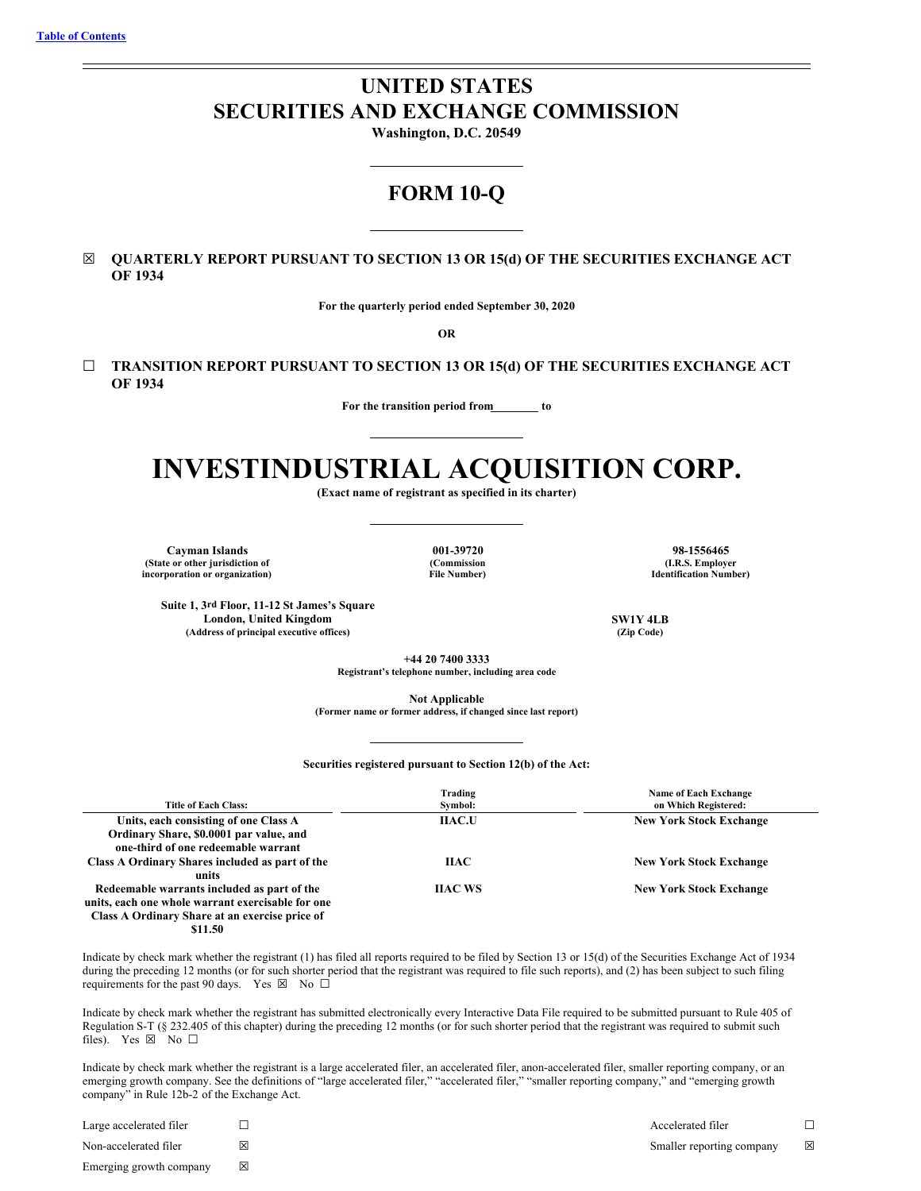# **UNITED STATES SECURITIES AND EXCHANGE COMMISSION**

**Washington, D.C. 20549**

# **FORM 10-Q**

☒ **QUARTERLY REPORT PURSUANT TO SECTION 13 OR 15(d) OF THE SECURITIES EXCHANGE ACT OF 1934**

**For the quarterly period ended September 30, 2020**

**OR**

☐ **TRANSITION REPORT PURSUANT TO SECTION 13 OR 15(d) OF THE SECURITIES EXCHANGE ACT OF 1934**

**For the transition period from to**

# **INVESTINDUSTRIAL ACQUISITION CORP.**

**(Exact name of registrant as specified in its charter)**

**Cayman Islands 001-39720 98-1556465 (State or other jurisdiction of incorporation or organization)**

**(Commission File Number)**

**(I.R.S. Employer Identification Number)**

**Suite 1, 3rd Floor, 11-12 St James's Square London, United Kingdom SW1Y 4LB**<br>dress of principal executive offices) (Zip Code)  $(A$ ddress of principal executive offices)

**+44 20 7400 3333 Registrant's telephone number, including area code**

**Not Applicable**

**(Former name or former address, if changed since last report)**

**Securities registered pursuant to Section 12(b) of the Act:**

| Title of Each Class:                              | Trading<br>Symbol: | <b>Name of Each Exchange</b><br>on Which Registered: |
|---------------------------------------------------|--------------------|------------------------------------------------------|
| Units, each consisting of one Class A             | <b>IIAC.U</b>      | <b>New York Stock Exchange</b>                       |
| Ordinary Share, \$0.0001 par value, and           |                    |                                                      |
| one-third of one redeemable warrant               |                    |                                                      |
| Class A Ordinary Shares included as part of the   | <b>HAC</b>         | <b>New York Stock Exchange</b>                       |
| units                                             |                    |                                                      |
| Redeemable warrants included as part of the       | <b>HAC WS</b>      | <b>New York Stock Exchange</b>                       |
| units, each one whole warrant exercisable for one |                    |                                                      |
| Class A Ordinary Share at an exercise price of    |                    |                                                      |

**\$11.50**

Indicate by check mark whether the registrant (1) has filed all reports required to be filed by Section 13 or 15(d) of the Securities Exchange Act of 1934 during the preceding 12 months (or for such shorter period that the registrant was required to file such reports), and (2) has been subject to such filing requirements for the past 90 days. Yes  $\boxtimes$  No  $\Box$ 

Indicate by check mark whether the registrant has submitted electronically every Interactive Data File required to be submitted pursuant to Rule 405 of Regulation S-T (§ 232.405 of this chapter) during the preceding 12 months (or for such shorter period that the registrant was required to submit such files). Yes ⊠ No □

Indicate by check mark whether the registrant is a large accelerated filer, an accelerated filer, anon-accelerated filer, smaller reporting company, or an emerging growth company. See the definitions of "large accelerated filer," "accelerated filer," "smaller reporting company," and "emerging growth company" in Rule 12b-2 of the Exchange Act.

| Large accelerated filer |   | Accelerated filer         |             |
|-------------------------|---|---------------------------|-------------|
| Non-accelerated filer   | 冈 | Smaller reporting company | $\boxtimes$ |
| Emerging growth company | X |                           |             |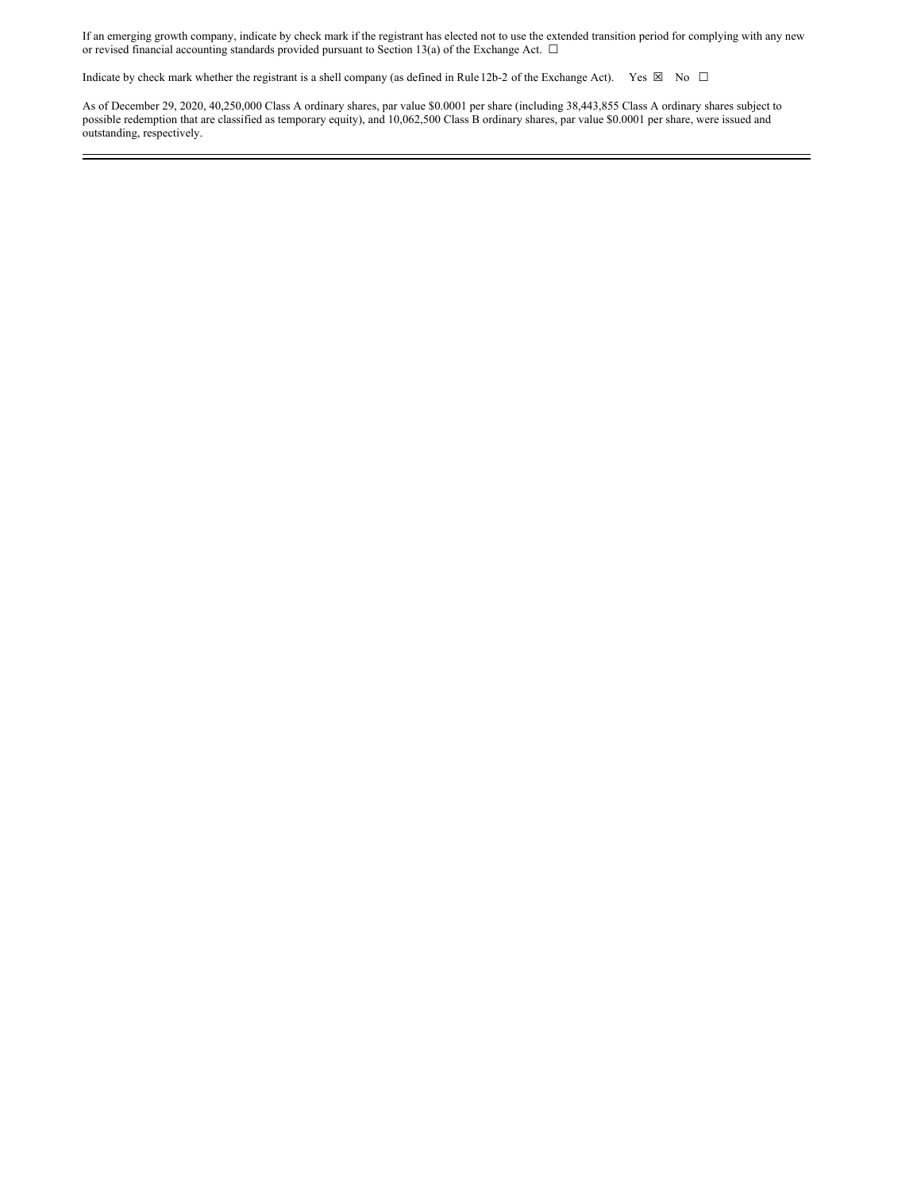If an emerging growth company, indicate by check mark if the registrant has elected not to use the extended transition period for complying with any new or revised financial accounting standards provided pursuant to Section 13(a) of the Exchange Act.  $\Box$ 

Indicate by check mark whether the registrant is a shell company (as defined in Rule 12b-2 of the Exchange Act). Yes  $\boxtimes$  No  $\Box$ 

As of December 29, 2020, 40,250,000 Class A ordinary shares, par value \$0.0001 per share (including 38,443,855 Class A ordinary shares subject to possible redemption that are classified as temporary equity), and 10,062,500 Class B ordinary shares, par value \$0.0001 per share, were issued and outstanding, respectively.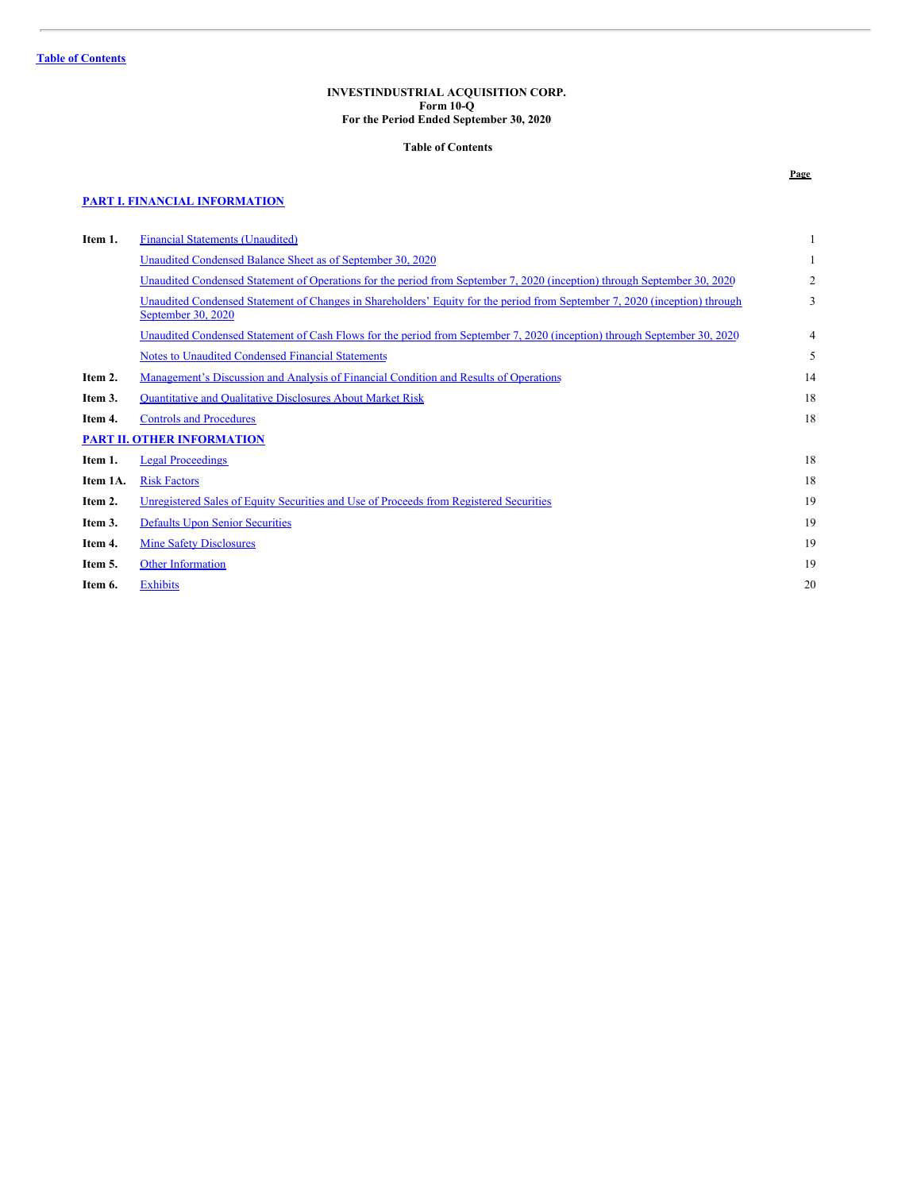#### **INVESTINDUSTRIAL ACQUISITION CORP. Form 10-Q For the Period Ended September 30, 2020**

# <span id="page-2-0"></span>**Table of Contents**

# **Page**

# **PART I. FINANCIAL [INFORMATION](#page-3-0)**

| Item 1.  | <b>Financial Statements (Unaudited)</b>                                                                                                          |    |
|----------|--------------------------------------------------------------------------------------------------------------------------------------------------|----|
|          | Unaudited Condensed Balance Sheet as of September 30, 2020                                                                                       |    |
|          | Unaudited Condensed Statement of Operations for the period from September 7, 2020 (inception) through September 30, 2020                         | 2  |
|          | Unaudited Condensed Statement of Changes in Shareholders' Equity for the period from September 7, 2020 (inception) through<br>September 30, 2020 | 3  |
|          | Unaudited Condensed Statement of Cash Flows for the period from September 7, 2020 (inception) through September 30, 2020                         | 4  |
|          | <b>Notes to Unaudited Condensed Financial Statements</b>                                                                                         | 5  |
| Item 2.  | Management's Discussion and Analysis of Financial Condition and Results of Operations                                                            | 14 |
| Item 3.  | <b>Quantitative and Qualitative Disclosures About Market Risk</b>                                                                                | 18 |
| Item 4.  | <b>Controls and Procedures</b>                                                                                                                   | 18 |
|          | <b>PART II. OTHER INFORMATION</b>                                                                                                                |    |
| Item 1.  | <b>Legal Proceedings</b>                                                                                                                         | 18 |
| Item 1A. | <b>Risk Factors</b>                                                                                                                              | 18 |
| Item 2.  | Unregistered Sales of Equity Securities and Use of Proceeds from Registered Securities                                                           | 19 |
| Item 3.  | <b>Defaults Upon Senior Securities</b>                                                                                                           | 19 |
| Item 4.  | <b>Mine Safety Disclosures</b>                                                                                                                   | 19 |
| Item 5.  | <b>Other Information</b>                                                                                                                         | 19 |
| Item 6.  | Exhibits                                                                                                                                         | 20 |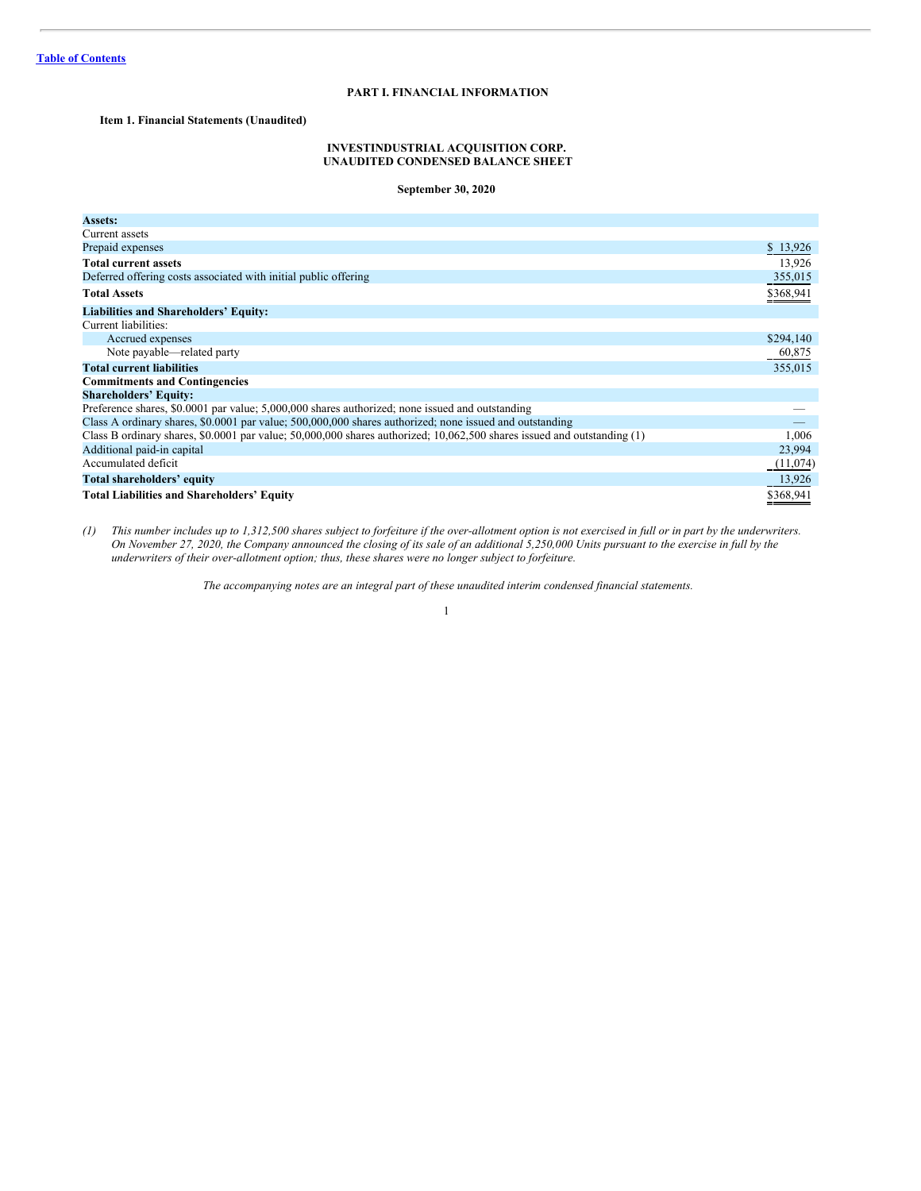# <span id="page-3-0"></span>**PART I. FINANCIAL INFORMATION**

# <span id="page-3-1"></span>**Item 1. Financial Statements (Unaudited)**

# <span id="page-3-2"></span>**INVESTINDUSTRIAL ACQUISITION CORP. UNAUDITED CONDENSED BALANCE SHEET**

# **September 30, 2020**

| <b>Assets:</b><br>Current assets<br>Prepaid expenses<br><b>Total current assets</b><br>Deferred offering costs associated with initial public offering<br><b>Total Assets</b><br><b>Liabilities and Shareholders' Equity:</b><br>Current liabilities:<br>Accrued expenses<br>Note payable—related party<br><b>Total current liabilities</b><br><b>Commitments and Contingencies</b><br><b>Shareholders' Equity:</b><br>Preference shares, \$0,0001 par value; 5,000,000 shares authorized; none issued and outstanding<br>Class A ordinary shares, \$0.0001 par value; 500,000,000 shares authorized; none issued and outstanding<br>Class B ordinary shares, $$0.0001$ par value; $50,000,000$ shares authorized; $10,062,500$ shares issued and outstanding $(1)$<br>Additional paid-in capital<br>Accumulated deficit |                            |           |
|--------------------------------------------------------------------------------------------------------------------------------------------------------------------------------------------------------------------------------------------------------------------------------------------------------------------------------------------------------------------------------------------------------------------------------------------------------------------------------------------------------------------------------------------------------------------------------------------------------------------------------------------------------------------------------------------------------------------------------------------------------------------------------------------------------------------------|----------------------------|-----------|
|                                                                                                                                                                                                                                                                                                                                                                                                                                                                                                                                                                                                                                                                                                                                                                                                                          |                            |           |
|                                                                                                                                                                                                                                                                                                                                                                                                                                                                                                                                                                                                                                                                                                                                                                                                                          |                            |           |
|                                                                                                                                                                                                                                                                                                                                                                                                                                                                                                                                                                                                                                                                                                                                                                                                                          |                            | \$13,926  |
|                                                                                                                                                                                                                                                                                                                                                                                                                                                                                                                                                                                                                                                                                                                                                                                                                          |                            | 13,926    |
|                                                                                                                                                                                                                                                                                                                                                                                                                                                                                                                                                                                                                                                                                                                                                                                                                          |                            | 355,015   |
|                                                                                                                                                                                                                                                                                                                                                                                                                                                                                                                                                                                                                                                                                                                                                                                                                          |                            | \$368,941 |
|                                                                                                                                                                                                                                                                                                                                                                                                                                                                                                                                                                                                                                                                                                                                                                                                                          |                            |           |
|                                                                                                                                                                                                                                                                                                                                                                                                                                                                                                                                                                                                                                                                                                                                                                                                                          |                            |           |
|                                                                                                                                                                                                                                                                                                                                                                                                                                                                                                                                                                                                                                                                                                                                                                                                                          |                            | \$294,140 |
|                                                                                                                                                                                                                                                                                                                                                                                                                                                                                                                                                                                                                                                                                                                                                                                                                          |                            | 60,875    |
|                                                                                                                                                                                                                                                                                                                                                                                                                                                                                                                                                                                                                                                                                                                                                                                                                          |                            | 355,015   |
|                                                                                                                                                                                                                                                                                                                                                                                                                                                                                                                                                                                                                                                                                                                                                                                                                          |                            |           |
|                                                                                                                                                                                                                                                                                                                                                                                                                                                                                                                                                                                                                                                                                                                                                                                                                          |                            |           |
|                                                                                                                                                                                                                                                                                                                                                                                                                                                                                                                                                                                                                                                                                                                                                                                                                          |                            |           |
|                                                                                                                                                                                                                                                                                                                                                                                                                                                                                                                                                                                                                                                                                                                                                                                                                          |                            |           |
|                                                                                                                                                                                                                                                                                                                                                                                                                                                                                                                                                                                                                                                                                                                                                                                                                          |                            | 1,006     |
|                                                                                                                                                                                                                                                                                                                                                                                                                                                                                                                                                                                                                                                                                                                                                                                                                          |                            | 23,994    |
|                                                                                                                                                                                                                                                                                                                                                                                                                                                                                                                                                                                                                                                                                                                                                                                                                          |                            | (11,074)  |
|                                                                                                                                                                                                                                                                                                                                                                                                                                                                                                                                                                                                                                                                                                                                                                                                                          | Total shareholders' equity | 13,926    |
| <b>Total Liabilities and Shareholders' Equity</b>                                                                                                                                                                                                                                                                                                                                                                                                                                                                                                                                                                                                                                                                                                                                                                        |                            | \$368,941 |

(1) This number includes up to 1,312,500 shares subject to forfeiture if the over-allotment option is not exercised in full or in part by the underwriters. On November 27, 2020, the Company announced the closing of its sale of an additional 5,250,000 Units pursuant to the exercise in full by the *underwriters of their over-allotment option; thus, these shares were no longer subject to forfeiture.*

*The accompanying notes are an integral part of these unaudited interim condensed financial statements.*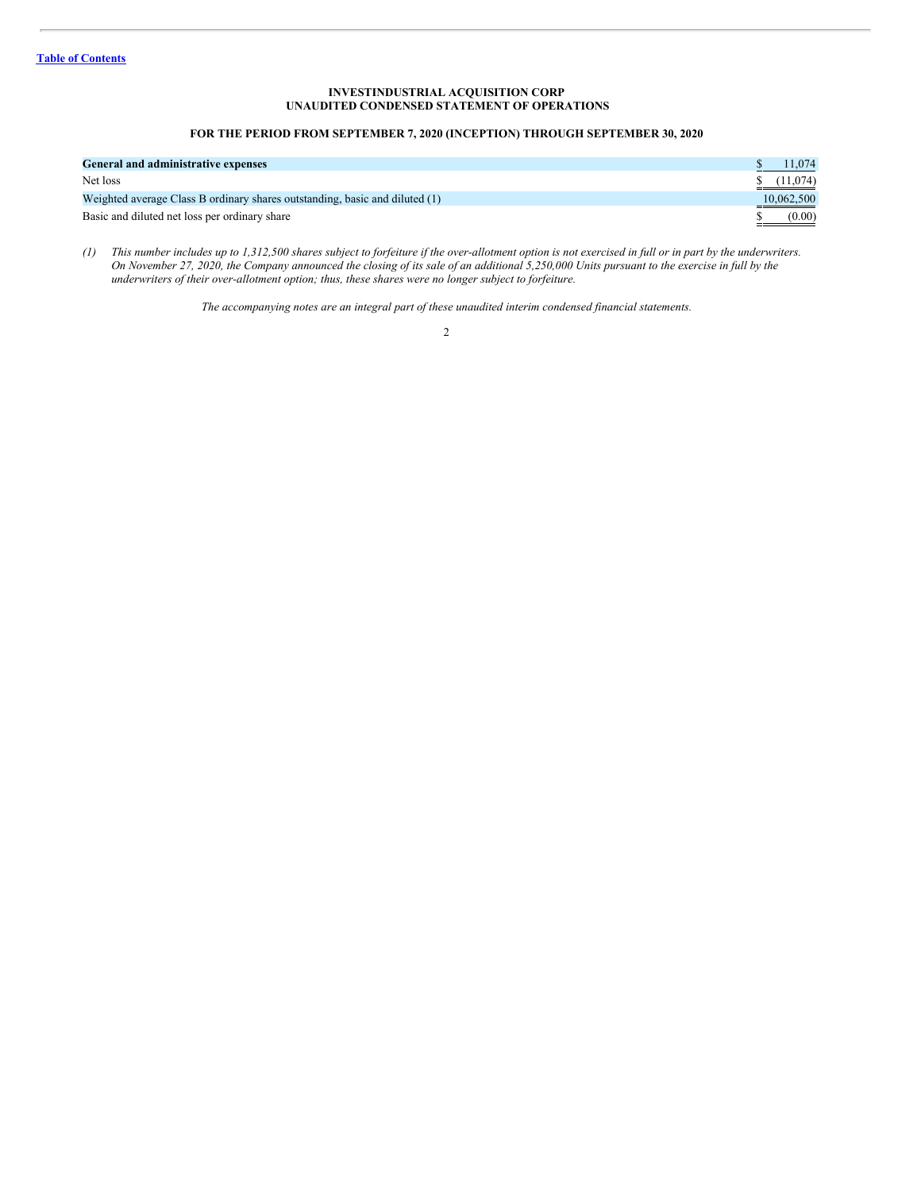# <span id="page-4-0"></span>**INVESTINDUSTRIAL ACQUISITION CORP UNAUDITED CONDENSED STATEMENT OF OPERATIONS**

# **FOR THE PERIOD FROM SEPTEMBER 7, 2020 (INCEPTION) THROUGH SEPTEMBER 30, 2020**

| <b>General and administrative expenses</b>                                  | 11,074                        |  |
|-----------------------------------------------------------------------------|-------------------------------|--|
| Net loss                                                                    | $\underline{\$$ (11,074)      |  |
| Weighted average Class B ordinary shares outstanding, basic and diluted (1) | 10,062,500<br><u>________</u> |  |
| Basic and diluted net loss per ordinary share                               | (0.00)                        |  |

(1) This number includes up to 1,312,500 shares subject to forfeiture if the over-allotment option is not exercised in full or in part by the underwriters. On November 27, 2020, the Company announced the closing of its sale of an additional 5,250,000 Units pursuant to the exercise in full by the *underwriters of their over-allotment option; thus, these shares were no longer subject to forfeiture.*

*The accompanying notes are an integral part of these unaudited interim condensed financial statements.*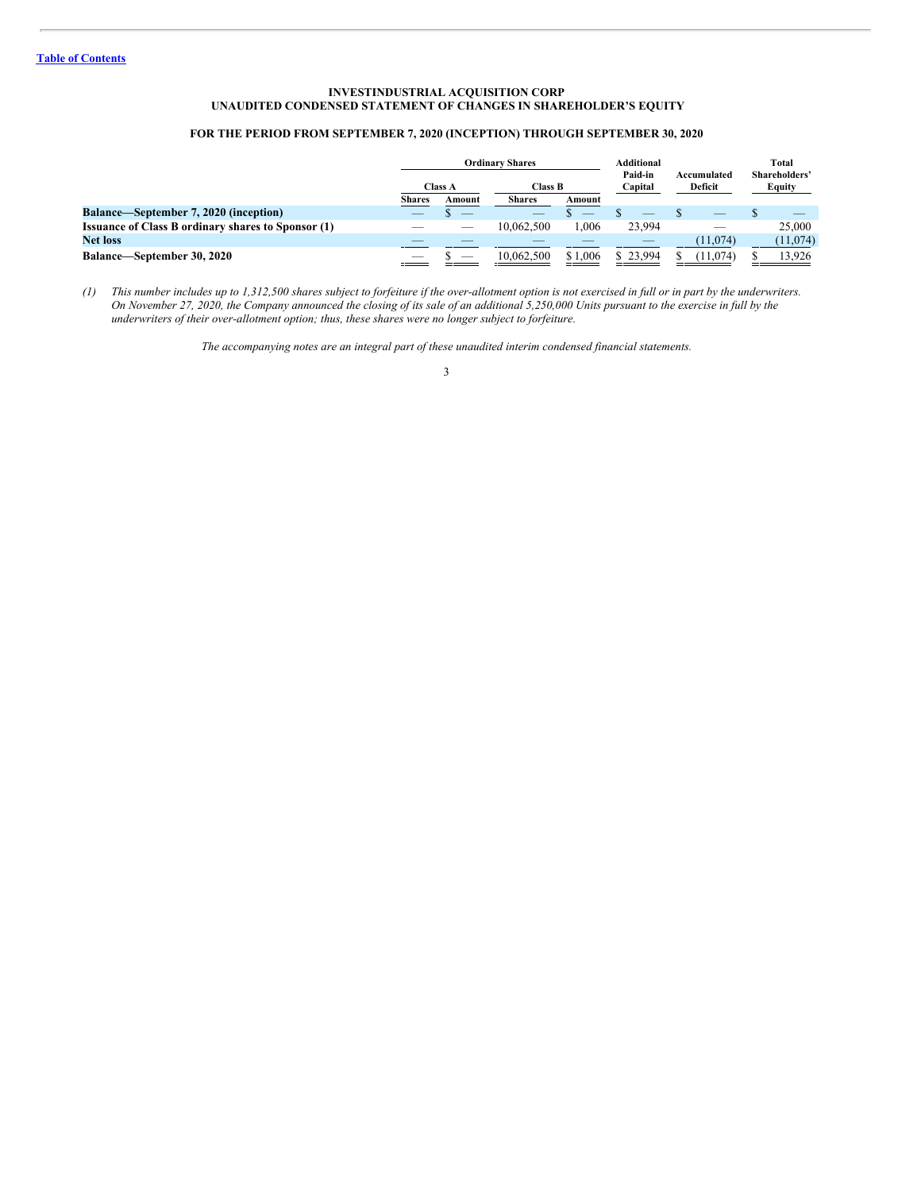# <span id="page-5-0"></span>**INVESTINDUSTRIAL ACQUISITION CORP UNAUDITED CONDENSED STATEMENT OF CHANGES IN SHAREHOLDER'S EQUITY**

# **FOR THE PERIOD FROM SEPTEMBER 7, 2020 (INCEPTION) THROUGH SEPTEMBER 30, 2020**

|                                                           |               |                          | <b>Ordinary Shares</b> |         | Additional<br>Paid-in | Accumulated | Total<br>Shareholders' |               |
|-----------------------------------------------------------|---------------|--------------------------|------------------------|---------|-----------------------|-------------|------------------------|---------------|
|                                                           |               | <b>Class A</b>           | Class B                |         | Capital               | Deficit     |                        | <b>Equity</b> |
|                                                           | <b>Shares</b> | Amount                   | <b>Shares</b>          | Amount  |                       |             |                        |               |
| Balance—September 7, 2020 (inception)                     |               | $\overline{\phantom{a}}$ |                        |         |                       |             |                        |               |
| <b>Issuance of Class B ordinary shares to Sponsor (1)</b> |               |                          | 10.062.500             | .006    | 23,994                |             |                        | 25,000        |
| <b>Net loss</b>                                           |               |                          |                        |         |                       | (11, 074)   |                        | (11, 074)     |
| <b>Balance-September 30, 2020</b>                         |               | $\overline{\phantom{a}}$ | 10.062.500             | \$1,006 | 23.994                | (11, 074)   |                        | 13,926        |

(1) This number includes up to 1,312,500 shares subject to forfeiture if the over-allotment option is not exercised in full or in part by the underwriters. On November 27, 2020, the Company announced the closing of its sale of an additional 5,250,000 Units pursuant to the exercise in full by the *underwriters of their over-allotment option; thus, these shares were no longer subject to forfeiture.*

*The accompanying notes are an integral part of these unaudited interim condensed financial statements.*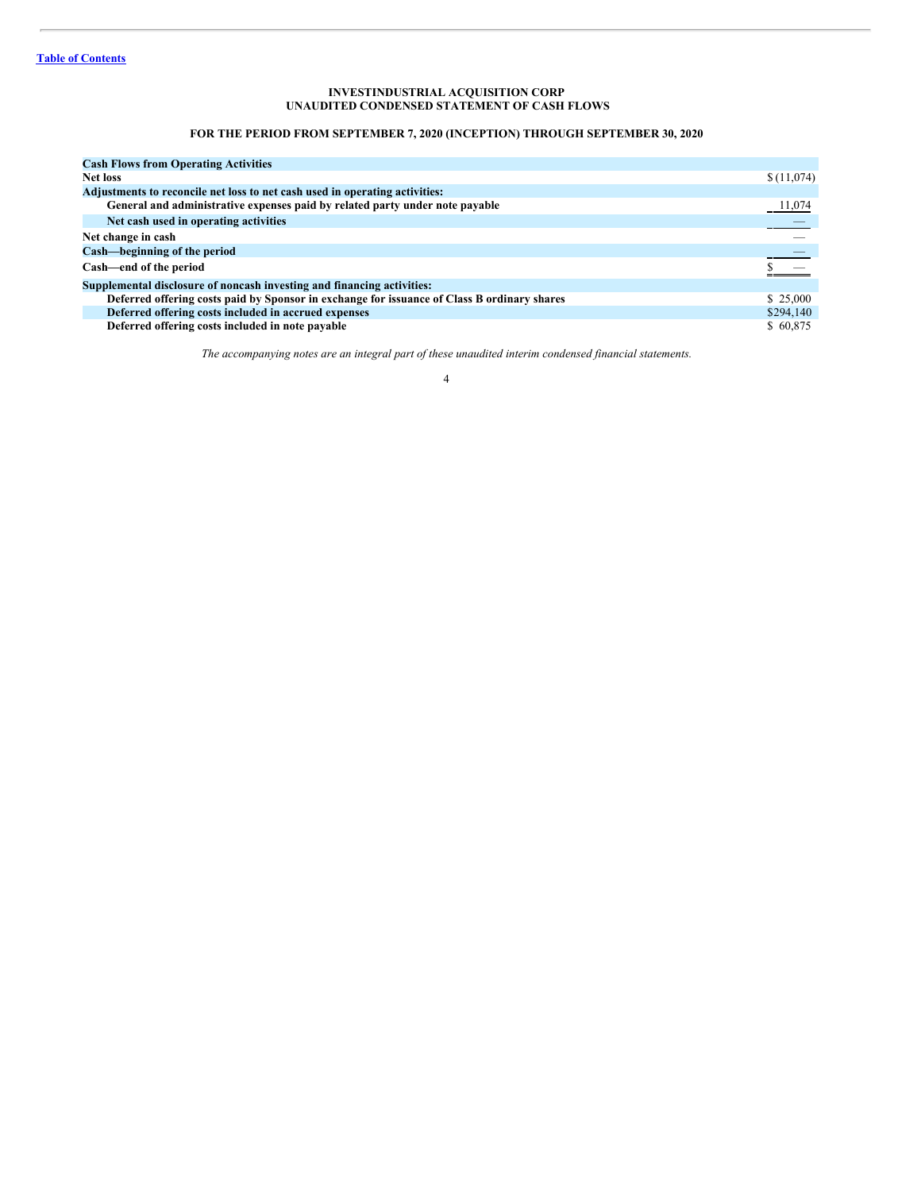# <span id="page-6-0"></span>**INVESTINDUSTRIAL ACQUISITION CORP UNAUDITED CONDENSED STATEMENT OF CASH FLOWS**

# **FOR THE PERIOD FROM SEPTEMBER 7, 2020 (INCEPTION) THROUGH SEPTEMBER 30, 2020**

| <b>Cash Flows from Operating Activities</b>                                                 |                          |
|---------------------------------------------------------------------------------------------|--------------------------|
| Net loss                                                                                    | \$(11,074)               |
| Adjustments to reconcile net loss to net cash used in operating activities:                 |                          |
| General and administrative expenses paid by related party under note payable                | 11,074                   |
| Net cash used in operating activities                                                       | $\overline{\phantom{0}}$ |
| Net change in cash                                                                          |                          |
| Cash—beginning of the period                                                                |                          |
| Cash—end of the period                                                                      |                          |
| Supplemental disclosure of noncash investing and financing activities:                      |                          |
| Deferred offering costs paid by Sponsor in exchange for issuance of Class B ordinary shares | \$25,000                 |
| Deferred offering costs included in accrued expenses                                        | \$294,140                |
| Deferred offering costs included in note payable                                            | \$60,875                 |

*The accompanying notes are an integral part of these unaudited interim condensed financial statements.* 4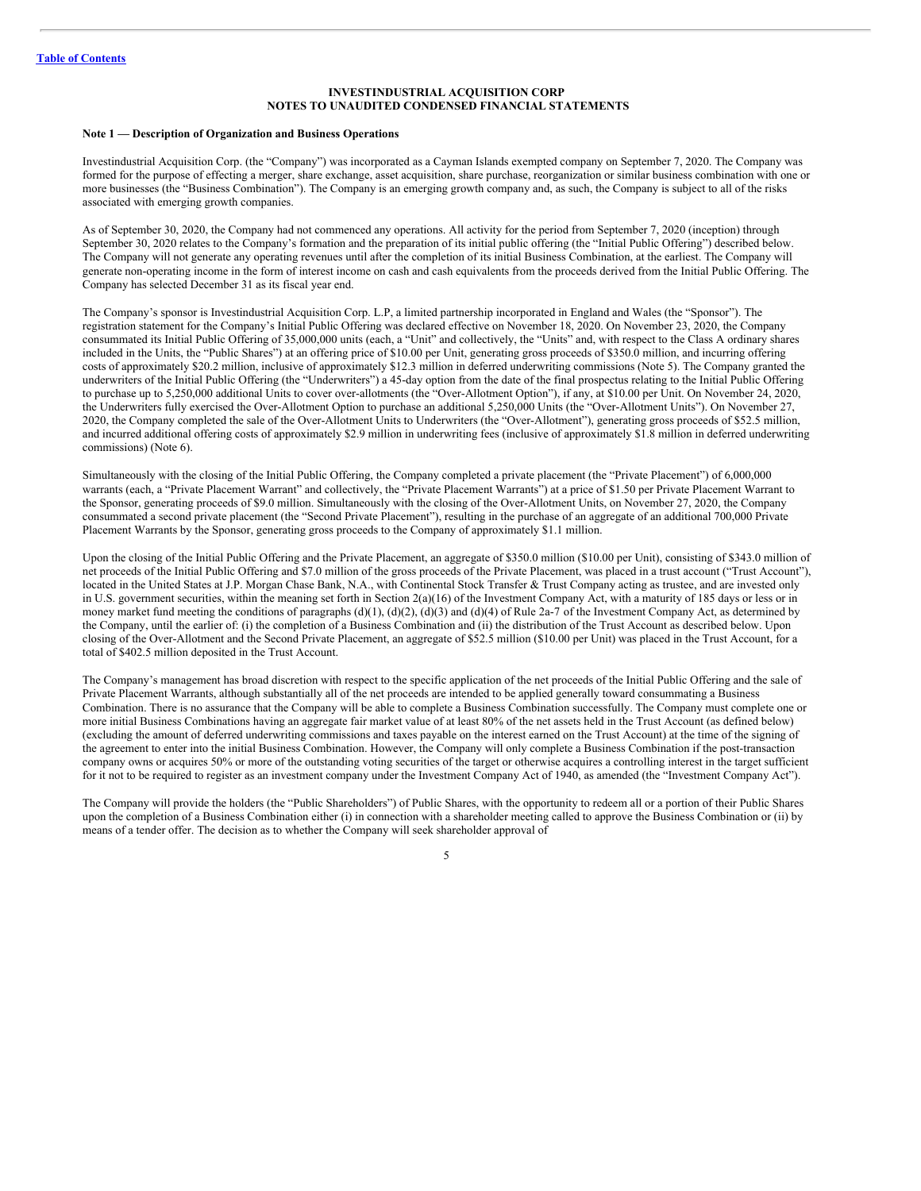#### <span id="page-7-0"></span>**Note 1 — Description of Organization and Business Operations**

Investindustrial Acquisition Corp. (the "Company") was incorporated as a Cayman Islands exempted company on September 7, 2020. The Company was formed for the purpose of effecting a merger, share exchange, asset acquisition, share purchase, reorganization or similar business combination with one or more businesses (the "Business Combination"). The Company is an emerging growth company and, as such, the Company is subject to all of the risks associated with emerging growth companies.

As of September 30, 2020, the Company had not commenced any operations. All activity for the period from September 7, 2020 (inception) through September 30, 2020 relates to the Company's formation and the preparation of its initial public offering (the "Initial Public Offering") described below. The Company will not generate any operating revenues until after the completion of its initial Business Combination, at the earliest. The Company will generate non-operating income in the form of interest income on cash and cash equivalents from the proceeds derived from the Initial Public Offering. The Company has selected December 31 as its fiscal year end.

The Company's sponsor is Investindustrial Acquisition Corp. L.P, a limited partnership incorporated in England and Wales (the "Sponsor"). The registration statement for the Company's Initial Public Offering was declared effective on November 18, 2020. On November 23, 2020, the Company consummated its Initial Public Offering of 35,000,000 units (each, a "Unit" and collectively, the "Units" and, with respect to the Class A ordinary shares included in the Units, the "Public Shares") at an offering price of \$10.00 per Unit, generating gross proceeds of \$350.0 million, and incurring offering costs of approximately \$20.2 million, inclusive of approximately \$12.3 million in deferred underwriting commissions (Note 5). The Company granted the underwriters of the Initial Public Offering (the "Underwriters") a 45-day option from the date of the final prospectus relating to the Initial Public Offering to purchase up to 5,250,000 additional Units to cover over-allotments (the "Over-Allotment Option"), if any, at \$10.00 per Unit. On November 24, 2020, the Underwriters fully exercised the Over-Allotment Option to purchase an additional 5,250,000 Units (the "Over-Allotment Units"). On November 27, 2020, the Company completed the sale of the Over-Allotment Units to Underwriters (the "Over-Allotment"), generating gross proceeds of \$52.5 million, and incurred additional offering costs of approximately \$2.9 million in underwriting fees (inclusive of approximately \$1.8 million in deferred underwriting commissions) (Note 6).

Simultaneously with the closing of the Initial Public Offering, the Company completed a private placement (the "Private Placement") of 6,000,000 warrants (each, a "Private Placement Warrant" and collectively, the "Private Placement Warrants") at a price of \$1.50 per Private Placement Warrant to the Sponsor, generating proceeds of \$9.0 million. Simultaneously with the closing of the Over-Allotment Units, on November 27, 2020, the Company consummated a second private placement (the "Second Private Placement"), resulting in the purchase of an aggregate of an additional 700,000 Private Placement Warrants by the Sponsor, generating gross proceeds to the Company of approximately \$1.1 million.

Upon the closing of the Initial Public Offering and the Private Placement, an aggregate of \$350.0 million (\$10.00 per Unit), consisting of \$343.0 million of net proceeds of the Initial Public Offering and \$7.0 million of the gross proceeds of the Private Placement, was placed in a trust account ("Trust Account"), located in the United States at J.P. Morgan Chase Bank, N.A., with Continental Stock Transfer & Trust Company acting as trustee, and are invested only in U.S. government securities, within the meaning set forth in Section 2(a)(16) of the Investment Company Act, with a maturity of 185 days or less or in money market fund meeting the conditions of paragraphs (d)(1), (d)(2), (d)(3) and (d)(4) of Rule 2a-7 of the Investment Company Act, as determined by the Company, until the earlier of: (i) the completion of a Business Combination and (ii) the distribution of the Trust Account as described below. Upon closing of the Over-Allotment and the Second Private Placement, an aggregate of \$52.5 million (\$10.00 per Unit) was placed in the Trust Account, for a total of \$402.5 million deposited in the Trust Account.

The Company's management has broad discretion with respect to the specific application of the net proceeds of the Initial Public Offering and the sale of Private Placement Warrants, although substantially all of the net proceeds are intended to be applied generally toward consummating a Business Combination. There is no assurance that the Company will be able to complete a Business Combination successfully. The Company must complete one or more initial Business Combinations having an aggregate fair market value of at least 80% of the net assets held in the Trust Account (as defined below) (excluding the amount of deferred underwriting commissions and taxes payable on the interest earned on the Trust Account) at the time of the signing of the agreement to enter into the initial Business Combination. However, the Company will only complete a Business Combination if the post-transaction company owns or acquires 50% or more of the outstanding voting securities of the target or otherwise acquires a controlling interest in the target sufficient for it not to be required to register as an investment company under the Investment Company Act of 1940, as amended (the "Investment Company Act").

The Company will provide the holders (the "Public Shareholders") of Public Shares, with the opportunity to redeem all or a portion of their Public Shares upon the completion of a Business Combination either (i) in connection with a shareholder meeting called to approve the Business Combination or (ii) by means of a tender offer. The decision as to whether the Company will seek shareholder approval of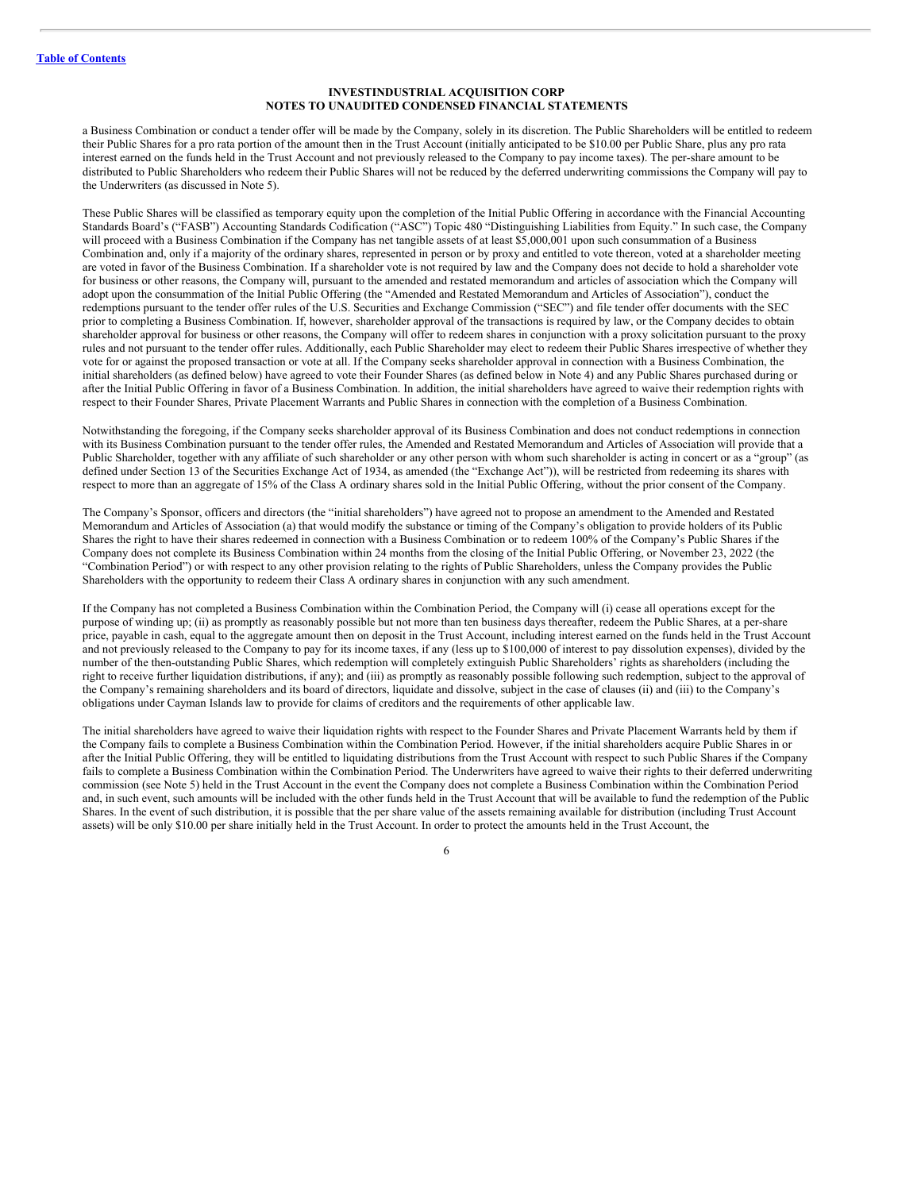a Business Combination or conduct a tender offer will be made by the Company, solely in its discretion. The Public Shareholders will be entitled to redeem their Public Shares for a pro rata portion of the amount then in the Trust Account (initially anticipated to be \$10.00 per Public Share, plus any pro rata interest earned on the funds held in the Trust Account and not previously released to the Company to pay income taxes). The per-share amount to be distributed to Public Shareholders who redeem their Public Shares will not be reduced by the deferred underwriting commissions the Company will pay to the Underwriters (as discussed in Note 5).

These Public Shares will be classified as temporary equity upon the completion of the Initial Public Offering in accordance with the Financial Accounting Standards Board's ("FASB") Accounting Standards Codification ("ASC") Topic 480 "Distinguishing Liabilities from Equity." In such case, the Company will proceed with a Business Combination if the Company has net tangible assets of at least \$5,000,001 upon such consummation of a Business Combination and, only if a majority of the ordinary shares, represented in person or by proxy and entitled to vote thereon, voted at a shareholder meeting are voted in favor of the Business Combination. If a shareholder vote is not required by law and the Company does not decide to hold a shareholder vote for business or other reasons, the Company will, pursuant to the amended and restated memorandum and articles of association which the Company will adopt upon the consummation of the Initial Public Offering (the "Amended and Restated Memorandum and Articles of Association"), conduct the redemptions pursuant to the tender offer rules of the U.S. Securities and Exchange Commission ("SEC") and file tender offer documents with the SEC prior to completing a Business Combination. If, however, shareholder approval of the transactions is required by law, or the Company decides to obtain shareholder approval for business or other reasons, the Company will offer to redeem shares in conjunction with a proxy solicitation pursuant to the proxy rules and not pursuant to the tender offer rules. Additionally, each Public Shareholder may elect to redeem their Public Shares irrespective of whether they vote for or against the proposed transaction or vote at all. If the Company seeks shareholder approval in connection with a Business Combination, the initial shareholders (as defined below) have agreed to vote their Founder Shares (as defined below in Note 4) and any Public Shares purchased during or after the Initial Public Offering in favor of a Business Combination. In addition, the initial shareholders have agreed to waive their redemption rights with respect to their Founder Shares, Private Placement Warrants and Public Shares in connection with the completion of a Business Combination.

Notwithstanding the foregoing, if the Company seeks shareholder approval of its Business Combination and does not conduct redemptions in connection with its Business Combination pursuant to the tender offer rules, the Amended and Restated Memorandum and Articles of Association will provide that a Public Shareholder, together with any affiliate of such shareholder or any other person with whom such shareholder is acting in concert or as a "group" (as defined under Section 13 of the Securities Exchange Act of 1934, as amended (the "Exchange Act")), will be restricted from redeeming its shares with respect to more than an aggregate of 15% of the Class A ordinary shares sold in the Initial Public Offering, without the prior consent of the Company.

The Company's Sponsor, officers and directors (the "initial shareholders") have agreed not to propose an amendment to the Amended and Restated Memorandum and Articles of Association (a) that would modify the substance or timing of the Company's obligation to provide holders of its Public Shares the right to have their shares redeemed in connection with a Business Combination or to redeem 100% of the Company's Public Shares if the Company does not complete its Business Combination within 24 months from the closing of the Initial Public Offering, or November 23, 2022 (the "Combination Period") or with respect to any other provision relating to the rights of Public Shareholders, unless the Company provides the Public Shareholders with the opportunity to redeem their Class A ordinary shares in conjunction with any such amendment.

If the Company has not completed a Business Combination within the Combination Period, the Company will (i) cease all operations except for the purpose of winding up; (ii) as promptly as reasonably possible but not more than ten business days thereafter, redeem the Public Shares, at a per-share price, payable in cash, equal to the aggregate amount then on deposit in the Trust Account, including interest earned on the funds held in the Trust Account and not previously released to the Company to pay for its income taxes, if any (less up to \$100,000 of interest to pay dissolution expenses), divided by the number of the then-outstanding Public Shares, which redemption will completely extinguish Public Shareholders' rights as shareholders (including the right to receive further liquidation distributions, if any); and (iii) as promptly as reasonably possible following such redemption, subject to the approval of the Company's remaining shareholders and its board of directors, liquidate and dissolve, subject in the case of clauses (ii) and (iii) to the Company's obligations under Cayman Islands law to provide for claims of creditors and the requirements of other applicable law.

The initial shareholders have agreed to waive their liquidation rights with respect to the Founder Shares and Private Placement Warrants held by them if the Company fails to complete a Business Combination within the Combination Period. However, if the initial shareholders acquire Public Shares in or after the Initial Public Offering, they will be entitled to liquidating distributions from the Trust Account with respect to such Public Shares if the Company fails to complete a Business Combination within the Combination Period. The Underwriters have agreed to waive their rights to their deferred underwriting commission (see Note 5) held in the Trust Account in the event the Company does not complete a Business Combination within the Combination Period and, in such event, such amounts will be included with the other funds held in the Trust Account that will be available to fund the redemption of the Public Shares. In the event of such distribution, it is possible that the per share value of the assets remaining available for distribution (including Trust Account assets) will be only \$10.00 per share initially held in the Trust Account. In order to protect the amounts held in the Trust Account, the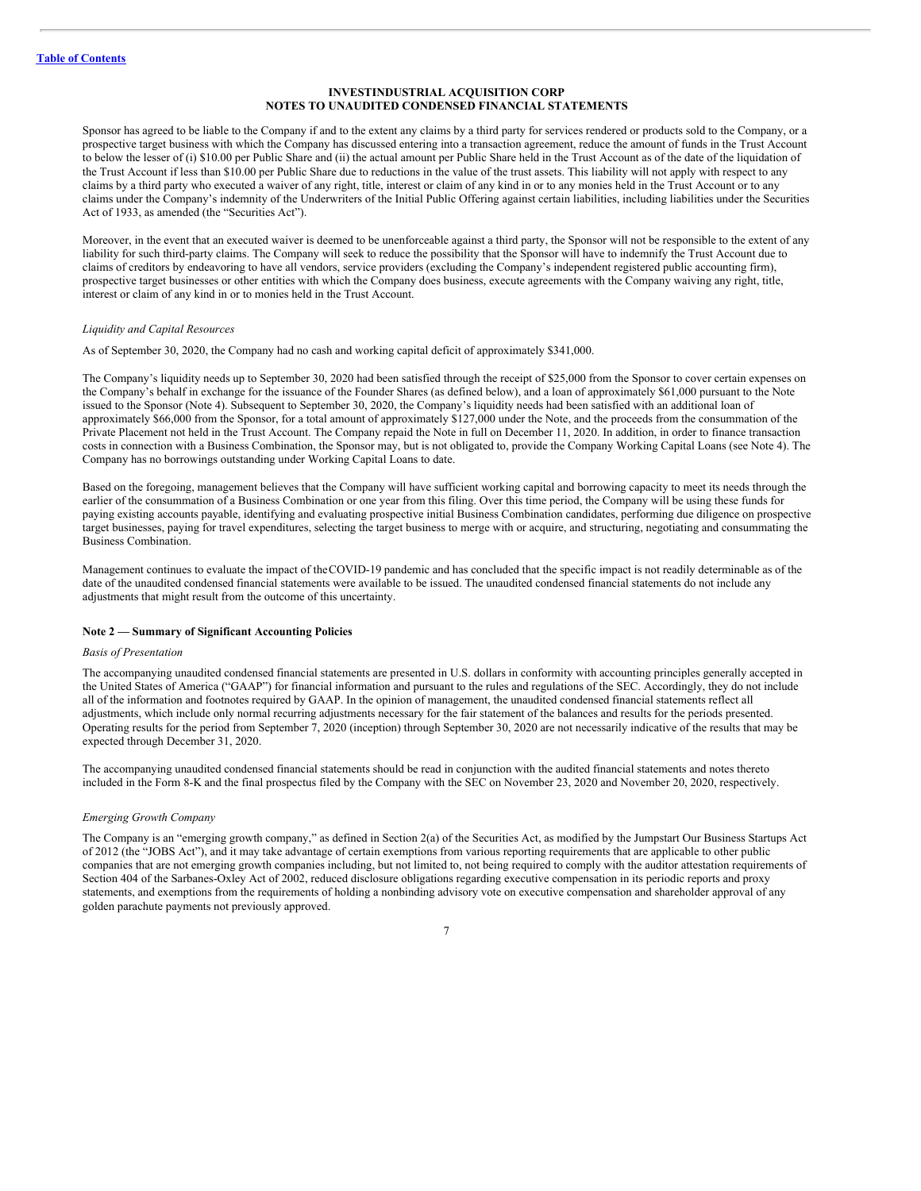Sponsor has agreed to be liable to the Company if and to the extent any claims by a third party for services rendered or products sold to the Company, or a prospective target business with which the Company has discussed entering into a transaction agreement, reduce the amount of funds in the Trust Account to below the lesser of (i) \$10.00 per Public Share and (ii) the actual amount per Public Share held in the Trust Account as of the date of the liquidation of the Trust Account if less than \$10.00 per Public Share due to reductions in the value of the trust assets. This liability will not apply with respect to any claims by a third party who executed a waiver of any right, title, interest or claim of any kind in or to any monies held in the Trust Account or to any claims under the Company's indemnity of the Underwriters of the Initial Public Offering against certain liabilities, including liabilities under the Securities Act of 1933, as amended (the "Securities Act").

Moreover, in the event that an executed waiver is deemed to be unenforceable against a third party, the Sponsor will not be responsible to the extent of any liability for such third-party claims. The Company will seek to reduce the possibility that the Sponsor will have to indemnify the Trust Account due to claims of creditors by endeavoring to have all vendors, service providers (excluding the Company's independent registered public accounting firm), prospective target businesses or other entities with which the Company does business, execute agreements with the Company waiving any right, title, interest or claim of any kind in or to monies held in the Trust Account.

# *Liquidity and Capital Resources*

As of September 30, 2020, the Company had no cash and working capital deficit of approximately \$341,000.

The Company's liquidity needs up to September 30, 2020 had been satisfied through the receipt of \$25,000 from the Sponsor to cover certain expenses on the Company's behalf in exchange for the issuance of the Founder Shares (as defined below), and a loan of approximately \$61,000 pursuant to the Note issued to the Sponsor (Note 4). Subsequent to September 30, 2020, the Company's liquidity needs had been satisfied with an additional loan of approximately \$66,000 from the Sponsor, for a total amount of approximately \$127,000 under the Note, and the proceeds from the consummation of the Private Placement not held in the Trust Account. The Company repaid the Note in full on December 11, 2020. In addition, in order to finance transaction costs in connection with a Business Combination, the Sponsor may, but is not obligated to, provide the Company Working Capital Loans (see Note 4). The Company has no borrowings outstanding under Working Capital Loans to date.

Based on the foregoing, management believes that the Company will have sufficient working capital and borrowing capacity to meet its needs through the earlier of the consummation of a Business Combination or one year from this filing. Over this time period, the Company will be using these funds for paying existing accounts payable, identifying and evaluating prospective initial Business Combination candidates, performing due diligence on prospective target businesses, paying for travel expenditures, selecting the target business to merge with or acquire, and structuring, negotiating and consummating the Business Combination.

Management continues to evaluate the impact of theCOVID-19 pandemic and has concluded that the specific impact is not readily determinable as of the date of the unaudited condensed financial statements were available to be issued. The unaudited condensed financial statements do not include any adjustments that might result from the outcome of this uncertainty.

#### **Note 2 — Summary of Significant Accounting Policies**

# *Basis of Presentation*

The accompanying unaudited condensed financial statements are presented in U.S. dollars in conformity with accounting principles generally accepted in the United States of America ("GAAP") for financial information and pursuant to the rules and regulations of the SEC. Accordingly, they do not include all of the information and footnotes required by GAAP. In the opinion of management, the unaudited condensed financial statements reflect all adjustments, which include only normal recurring adjustments necessary for the fair statement of the balances and results for the periods presented. Operating results for the period from September 7, 2020 (inception) through September 30, 2020 are not necessarily indicative of the results that may be expected through December 31, 2020.

The accompanying unaudited condensed financial statements should be read in conjunction with the audited financial statements and notes thereto included in the Form 8-K and the final prospectus filed by the Company with the SEC on November 23, 2020 and November 20, 2020, respectively.

# *Emerging Growth Company*

The Company is an "emerging growth company," as defined in Section 2(a) of the Securities Act, as modified by the Jumpstart Our Business Startups Act of 2012 (the "JOBS Act"), and it may take advantage of certain exemptions from various reporting requirements that are applicable to other public companies that are not emerging growth companies including, but not limited to, not being required to comply with the auditor attestation requirements of Section 404 of the Sarbanes-Oxley Act of 2002, reduced disclosure obligations regarding executive compensation in its periodic reports and proxy statements, and exemptions from the requirements of holding a nonbinding advisory vote on executive compensation and shareholder approval of any golden parachute payments not previously approved.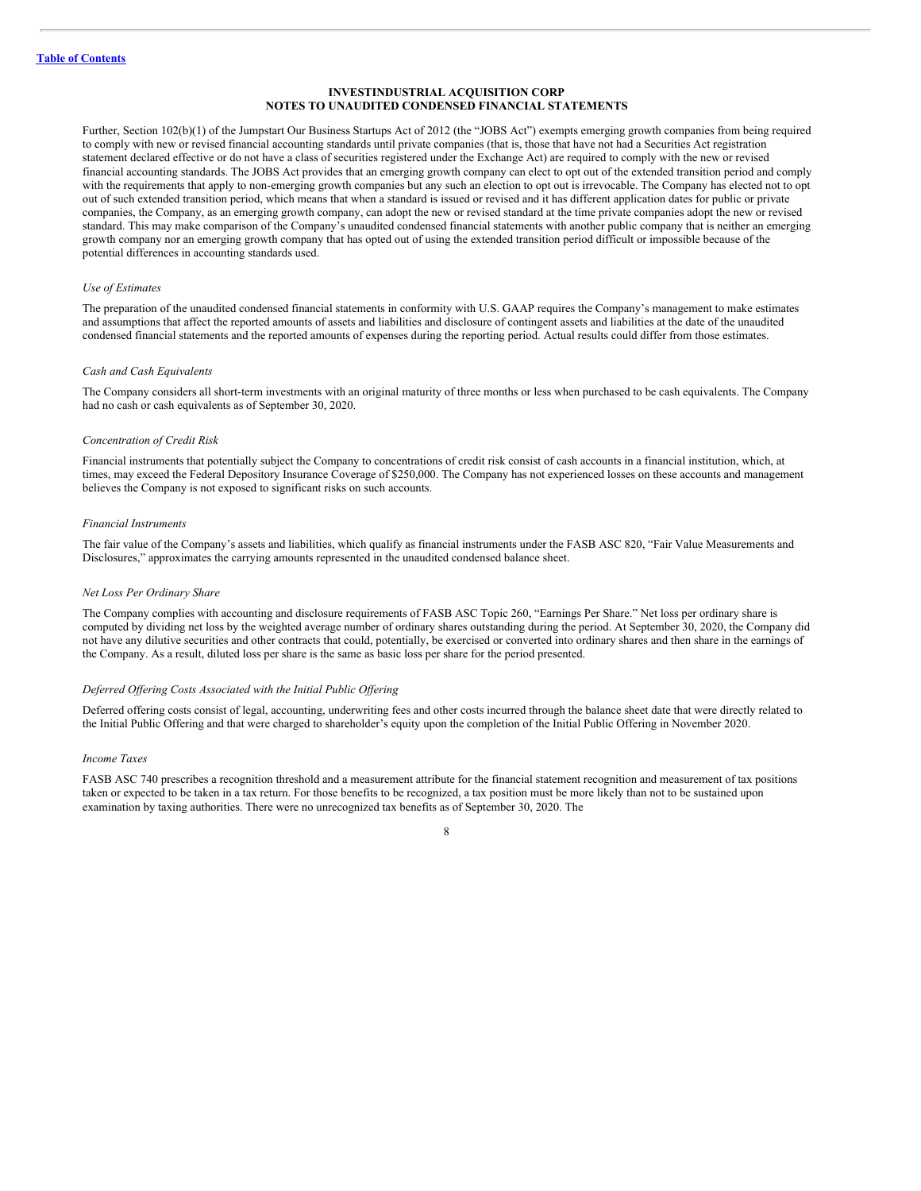Further, Section 102(b)(1) of the Jumpstart Our Business Startups Act of 2012 (the "JOBS Act") exempts emerging growth companies from being required to comply with new or revised financial accounting standards until private companies (that is, those that have not had a Securities Act registration statement declared effective or do not have a class of securities registered under the Exchange Act) are required to comply with the new or revised financial accounting standards. The JOBS Act provides that an emerging growth company can elect to opt out of the extended transition period and comply with the requirements that apply to non-emerging growth companies but any such an election to opt out is irrevocable. The Company has elected not to opt out of such extended transition period, which means that when a standard is issued or revised and it has different application dates for public or private companies, the Company, as an emerging growth company, can adopt the new or revised standard at the time private companies adopt the new or revised standard. This may make comparison of the Company's unaudited condensed financial statements with another public company that is neither an emerging growth company nor an emerging growth company that has opted out of using the extended transition period difficult or impossible because of the potential differences in accounting standards used.

#### *Use of Estimates*

The preparation of the unaudited condensed financial statements in conformity with U.S. GAAP requires the Company's management to make estimates and assumptions that affect the reported amounts of assets and liabilities and disclosure of contingent assets and liabilities at the date of the unaudited condensed financial statements and the reported amounts of expenses during the reporting period. Actual results could differ from those estimates.

# *Cash and Cash Equivalents*

The Company considers all short-term investments with an original maturity of three months or less when purchased to be cash equivalents. The Company had no cash or cash equivalents as of September 30, 2020.

# *Concentration of Credit Risk*

Financial instruments that potentially subject the Company to concentrations of credit risk consist of cash accounts in a financial institution, which, at times, may exceed the Federal Depository Insurance Coverage of \$250,000. The Company has not experienced losses on these accounts and management believes the Company is not exposed to significant risks on such accounts.

# *Financial Instruments*

The fair value of the Company's assets and liabilities, which qualify as financial instruments under the FASB ASC 820, "Fair Value Measurements and Disclosures," approximates the carrying amounts represented in the unaudited condensed balance sheet.

# *Net Loss Per Ordinary Share*

The Company complies with accounting and disclosure requirements of FASB ASC Topic 260, "Earnings Per Share." Net loss per ordinary share is computed by dividing net loss by the weighted average number of ordinary shares outstanding during the period. At September 30, 2020, the Company did not have any dilutive securities and other contracts that could, potentially, be exercised or converted into ordinary shares and then share in the earnings of the Company. As a result, diluted loss per share is the same as basic loss per share for the period presented.

#### *Deferred Of ering Costs Associated with the Initial Public Of ering*

Deferred offering costs consist of legal, accounting, underwriting fees and other costs incurred through the balance sheet date that were directly related to the Initial Public Offering and that were charged to shareholder's equity upon the completion of the Initial Public Offering in November 2020.

# *Income Taxes*

FASB ASC 740 prescribes a recognition threshold and a measurement attribute for the financial statement recognition and measurement of tax positions taken or expected to be taken in a tax return. For those benefits to be recognized, a tax position must be more likely than not to be sustained upon examination by taxing authorities. There were no unrecognized tax benefits as of September 30, 2020. The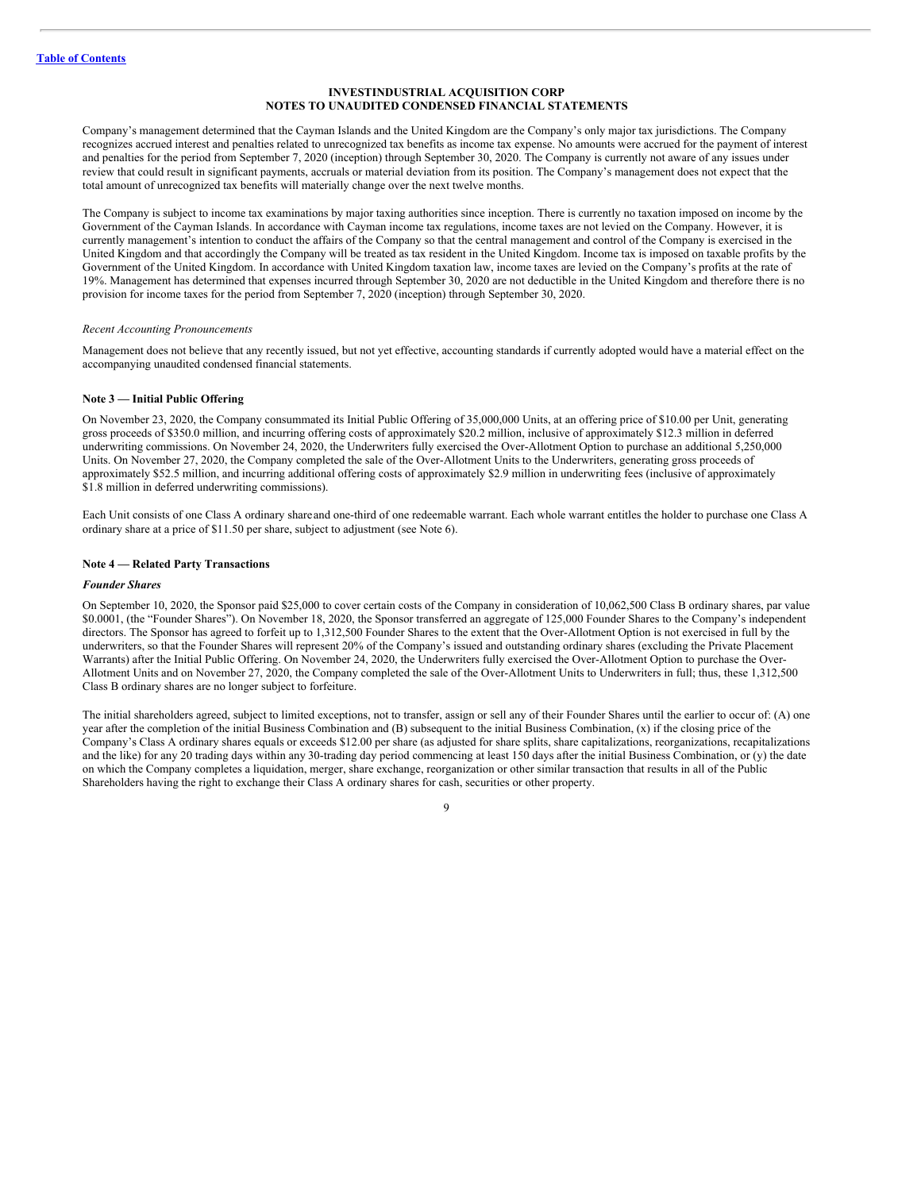Company's management determined that the Cayman Islands and the United Kingdom are the Company's only major tax jurisdictions. The Company recognizes accrued interest and penalties related to unrecognized tax benefits as income tax expense. No amounts were accrued for the payment of interest and penalties for the period from September 7, 2020 (inception) through September 30, 2020. The Company is currently not aware of any issues under review that could result in significant payments, accruals or material deviation from its position. The Company's management does not expect that the total amount of unrecognized tax benefits will materially change over the next twelve months.

The Company is subject to income tax examinations by major taxing authorities since inception. There is currently no taxation imposed on income by the Government of the Cayman Islands. In accordance with Cayman income tax regulations, income taxes are not levied on the Company. However, it is currently management's intention to conduct the affairs of the Company so that the central management and control of the Company is exercised in the United Kingdom and that accordingly the Company will be treated as tax resident in the United Kingdom. Income tax is imposed on taxable profits by the Government of the United Kingdom. In accordance with United Kingdom taxation law, income taxes are levied on the Company's profits at the rate of 19%. Management has determined that expenses incurred through September 30, 2020 are not deductible in the United Kingdom and therefore there is no provision for income taxes for the period from September 7, 2020 (inception) through September 30, 2020.

#### *Recent Accounting Pronouncements*

Management does not believe that any recently issued, but not yet effective, accounting standards if currently adopted would have a material effect on the accompanying unaudited condensed financial statements.

# **Note 3 — Initial Public Offering**

On November 23, 2020, the Company consummated its Initial Public Offering of 35,000,000 Units, at an offering price of \$10.00 per Unit, generating gross proceeds of \$350.0 million, and incurring offering costs of approximately \$20.2 million, inclusive of approximately \$12.3 million in deferred underwriting commissions. On November 24, 2020, the Underwriters fully exercised the Over-Allotment Option to purchase an additional 5,250,000 Units. On November 27, 2020, the Company completed the sale of the Over-Allotment Units to the Underwriters, generating gross proceeds of approximately \$52.5 million, and incurring additional offering costs of approximately \$2.9 million in underwriting fees (inclusive of approximately \$1.8 million in deferred underwriting commissions).

Each Unit consists of one Class A ordinary shareand one-third of one redeemable warrant. Each whole warrant entitles the holder to purchase one Class A ordinary share at a price of \$11.50 per share, subject to adjustment (see Note 6).

# **Note 4 — Related Party Transactions**

# *Founder Shares*

On September 10, 2020, the Sponsor paid \$25,000 to cover certain costs of the Company in consideration of 10,062,500 Class B ordinary shares, par value \$0.0001, (the "Founder Shares"). On November 18, 2020, the Sponsor transferred an aggregate of 125,000 Founder Shares to the Company's independent directors. The Sponsor has agreed to forfeit up to 1,312,500 Founder Shares to the extent that the Over-Allotment Option is not exercised in full by the underwriters, so that the Founder Shares will represent 20% of the Company's issued and outstanding ordinary shares (excluding the Private Placement Warrants) after the Initial Public Offering. On November 24, 2020, the Underwriters fully exercised the Over-Allotment Option to purchase the Over-Allotment Units and on November 27, 2020, the Company completed the sale of the Over-Allotment Units to Underwriters in full; thus, these 1,312,500 Class B ordinary shares are no longer subject to forfeiture.

The initial shareholders agreed, subject to limited exceptions, not to transfer, assign or sell any of their Founder Shares until the earlier to occur of: (A) one year after the completion of the initial Business Combination and (B) subsequent to the initial Business Combination, (x) if the closing price of the Company's Class A ordinary shares equals or exceeds \$12.00 per share (as adjusted for share splits, share capitalizations, reorganizations, recapitalizations and the like) for any 20 trading days within any 30-trading day period commencing at least 150 days after the initial Business Combination, or (y) the date on which the Company completes a liquidation, merger, share exchange, reorganization or other similar transaction that results in all of the Public Shareholders having the right to exchange their Class A ordinary shares for cash, securities or other property.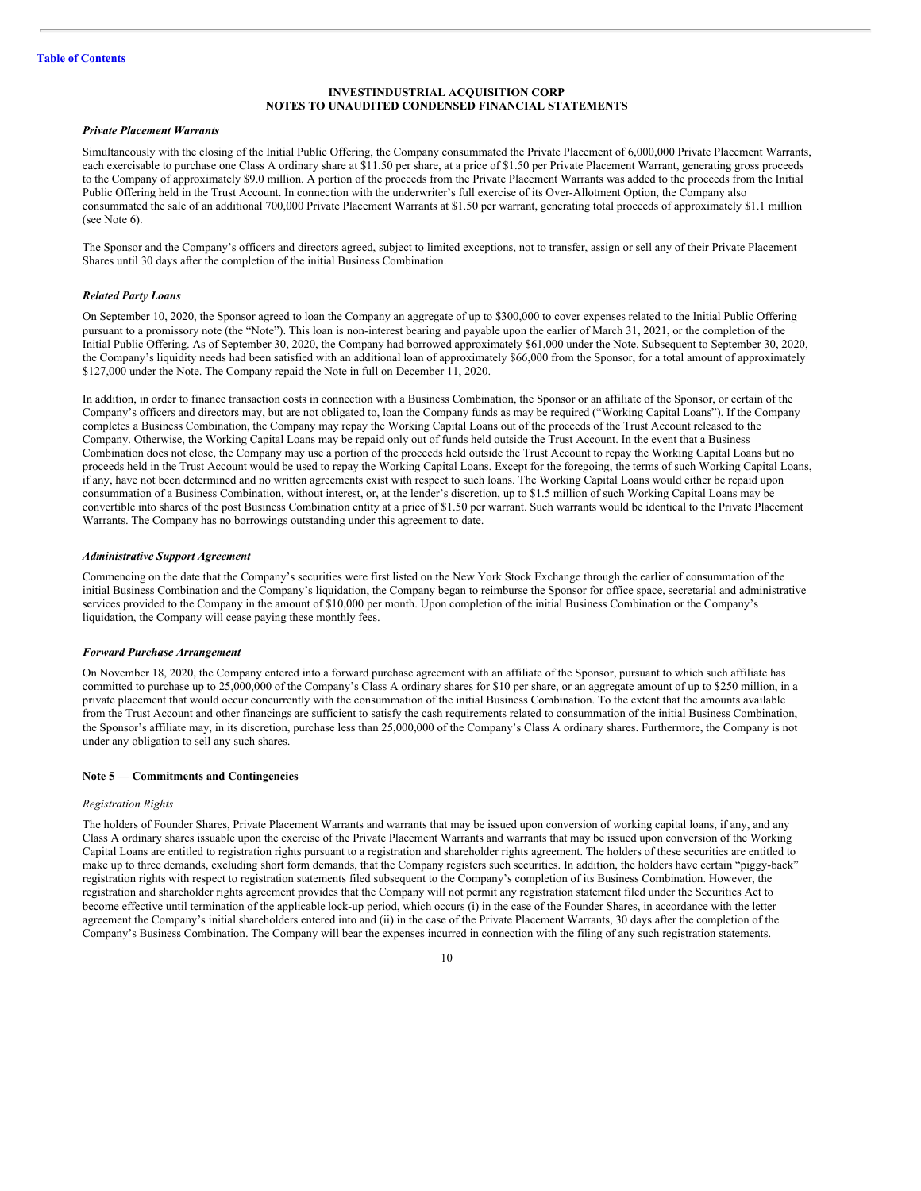# *Private Placement Warrants*

Simultaneously with the closing of the Initial Public Offering, the Company consummated the Private Placement of 6,000,000 Private Placement Warrants, each exercisable to purchase one Class A ordinary share at \$11.50 per share, at a price of \$1.50 per Private Placement Warrant, generating gross proceeds to the Company of approximately \$9.0 million. A portion of the proceeds from the Private Placement Warrants was added to the proceeds from the Initial Public Offering held in the Trust Account. In connection with the underwriter's full exercise of its Over-Allotment Option, the Company also consummated the sale of an additional 700,000 Private Placement Warrants at \$1.50 per warrant, generating total proceeds of approximately \$1.1 million (see Note 6).

The Sponsor and the Company's officers and directors agreed, subject to limited exceptions, not to transfer, assign or sell any of their Private Placement Shares until 30 days after the completion of the initial Business Combination.

#### *Related Party Loans*

On September 10, 2020, the Sponsor agreed to loan the Company an aggregate of up to \$300,000 to cover expenses related to the Initial Public Offering pursuant to a promissory note (the "Note"). This loan is non-interest bearing and payable upon the earlier of March 31, 2021, or the completion of the Initial Public Offering. As of September 30, 2020, the Company had borrowed approximately \$61,000 under the Note. Subsequent to September 30, 2020, the Company's liquidity needs had been satisfied with an additional loan of approximately \$66,000 from the Sponsor, for a total amount of approximately \$127,000 under the Note. The Company repaid the Note in full on December 11, 2020.

In addition, in order to finance transaction costs in connection with a Business Combination, the Sponsor or an affiliate of the Sponsor, or certain of the Company's officers and directors may, but are not obligated to, loan the Company funds as may be required ("Working Capital Loans"). If the Company completes a Business Combination, the Company may repay the Working Capital Loans out of the proceeds of the Trust Account released to the Company. Otherwise, the Working Capital Loans may be repaid only out of funds held outside the Trust Account. In the event that a Business Combination does not close, the Company may use a portion of the proceeds held outside the Trust Account to repay the Working Capital Loans but no proceeds held in the Trust Account would be used to repay the Working Capital Loans. Except for the foregoing, the terms of such Working Capital Loans, if any, have not been determined and no written agreements exist with respect to such loans. The Working Capital Loans would either be repaid upon consummation of a Business Combination, without interest, or, at the lender's discretion, up to \$1.5 million of such Working Capital Loans may be convertible into shares of the post Business Combination entity at a price of \$1.50 per warrant. Such warrants would be identical to the Private Placement Warrants. The Company has no borrowings outstanding under this agreement to date.

## *Administrative Support Agreement*

Commencing on the date that the Company's securities were first listed on the New York Stock Exchange through the earlier of consummation of the initial Business Combination and the Company's liquidation, the Company began to reimburse the Sponsor for office space, secretarial and administrative services provided to the Company in the amount of \$10,000 per month. Upon completion of the initial Business Combination or the Company's liquidation, the Company will cease paying these monthly fees.

#### *Forward Purchase Arrangement*

On November 18, 2020, the Company entered into a forward purchase agreement with an affiliate of the Sponsor, pursuant to which such affiliate has committed to purchase up to 25,000,000 of the Company's Class A ordinary shares for \$10 per share, or an aggregate amount of up to \$250 million, in a private placement that would occur concurrently with the consummation of the initial Business Combination. To the extent that the amounts available from the Trust Account and other financings are sufficient to satisfy the cash requirements related to consummation of the initial Business Combination, the Sponsor's affiliate may, in its discretion, purchase less than 25,000,000 of the Company's Class A ordinary shares. Furthermore, the Company is not under any obligation to sell any such shares.

# **Note 5 — Commitments and Contingencies**

#### *Registration Rights*

The holders of Founder Shares, Private Placement Warrants and warrants that may be issued upon conversion of working capital loans, if any, and any Class A ordinary shares issuable upon the exercise of the Private Placement Warrants and warrants that may be issued upon conversion of the Working Capital Loans are entitled to registration rights pursuant to a registration and shareholder rights agreement. The holders of these securities are entitled to make up to three demands, excluding short form demands, that the Company registers such securities. In addition, the holders have certain "piggy-back" registration rights with respect to registration statements filed subsequent to the Company's completion of its Business Combination. However, the registration and shareholder rights agreement provides that the Company will not permit any registration statement filed under the Securities Act to become effective until termination of the applicable lock-up period, which occurs (i) in the case of the Founder Shares, in accordance with the letter agreement the Company's initial shareholders entered into and (ii) in the case of the Private Placement Warrants, 30 days after the completion of the Company's Business Combination. The Company will bear the expenses incurred in connection with the filing of any such registration statements.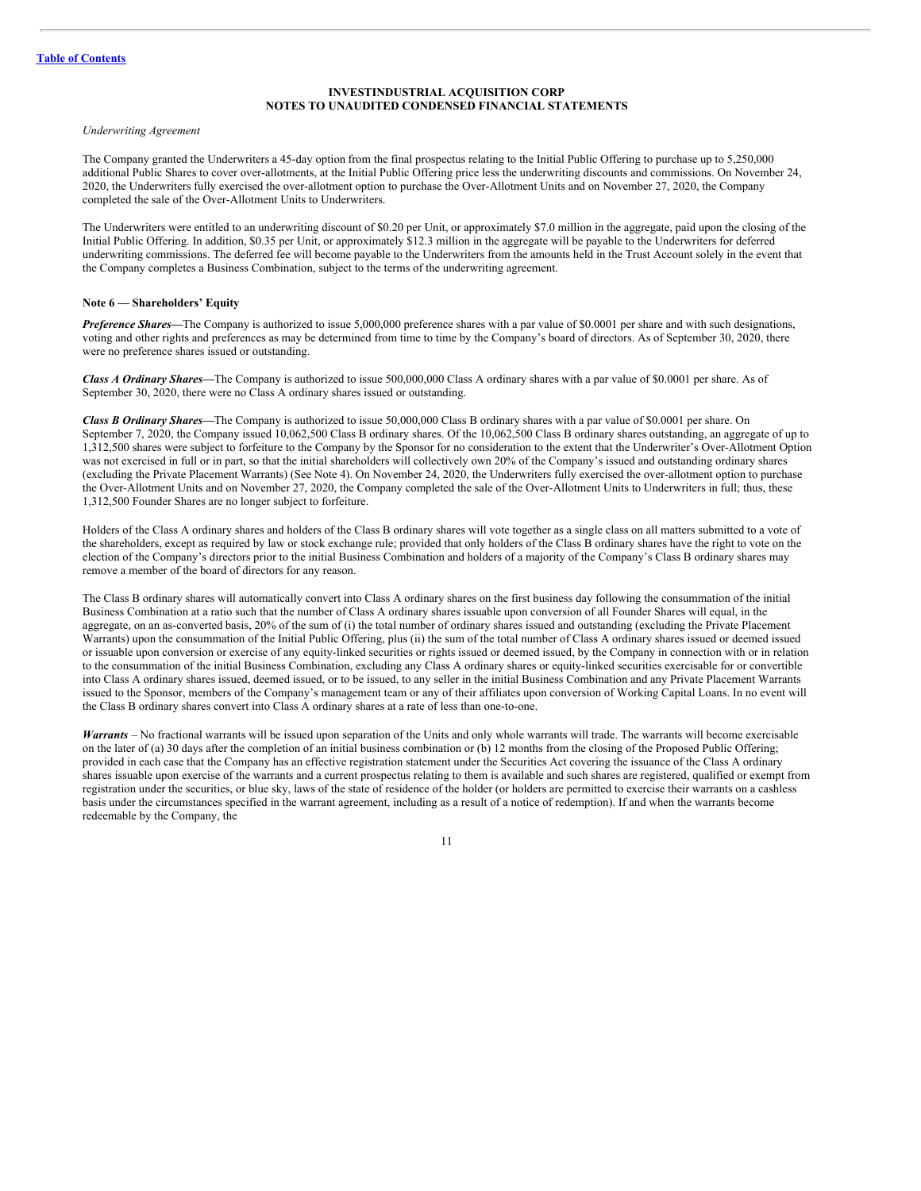### *Underwriting Agreement*

The Company granted the Underwriters a 45-day option from the final prospectus relating to the Initial Public Offering to purchase up to 5,250,000 additional Public Shares to cover over-allotments, at the Initial Public Offering price less the underwriting discounts and commissions. On November 24, 2020, the Underwriters fully exercised the over-allotment option to purchase the Over-Allotment Units and on November 27, 2020, the Company completed the sale of the Over-Allotment Units to Underwriters.

The Underwriters were entitled to an underwriting discount of \$0.20 per Unit, or approximately \$7.0 million in the aggregate, paid upon the closing of the Initial Public Offering. In addition, \$0.35 per Unit, or approximately \$12.3 million in the aggregate will be payable to the Underwriters for deferred underwriting commissions. The deferred fee will become payable to the Underwriters from the amounts held in the Trust Account solely in the event that the Company completes a Business Combination, subject to the terms of the underwriting agreement.

# **Note 6 — Shareholders' Equity**

*Preference Shares—*The Company is authorized to issue 5,000,000 preference shares with a par value of \$0.0001 per share and with such designations, voting and other rights and preferences as may be determined from time to time by the Company's board of directors. As of September 30, 2020, there were no preference shares issued or outstanding.

*Class A Ordinary Shares—*The Company is authorized to issue 500,000,000 Class A ordinary shares with a par value of \$0.0001 per share. As of September 30, 2020, there were no Class A ordinary shares issued or outstanding.

*Class B Ordinary Shares—*The Company is authorized to issue 50,000,000 Class B ordinary shares with a par value of \$0.0001 per share. On September 7, 2020, the Company issued 10,062,500 Class B ordinary shares. Of the 10,062,500 Class B ordinary shares outstanding, an aggregate of up to 1,312,500 shares were subject to forfeiture to the Company by the Sponsor for no consideration to the extent that the Underwriter's Over-Allotment Option was not exercised in full or in part, so that the initial shareholders will collectively own 20% of the Company's issued and outstanding ordinary shares (excluding the Private Placement Warrants) (See Note 4). On November 24, 2020, the Underwriters fully exercised the over-allotment option to purchase the Over-Allotment Units and on November 27, 2020, the Company completed the sale of the Over-Allotment Units to Underwriters in full; thus, these 1,312,500 Founder Shares are no longer subject to forfeiture.

Holders of the Class A ordinary shares and holders of the Class B ordinary shares will vote together as a single class on all matters submitted to a vote of the shareholders, except as required by law or stock exchange rule; provided that only holders of the Class B ordinary shares have the right to vote on the election of the Company's directors prior to the initial Business Combination and holders of a majority of the Company's Class B ordinary shares may remove a member of the board of directors for any reason.

The Class B ordinary shares will automatically convert into Class A ordinary shares on the first business day following the consummation of the initial Business Combination at a ratio such that the number of Class A ordinary shares issuable upon conversion of all Founder Shares will equal, in the aggregate, on an as-converted basis, 20% of the sum of (i) the total number of ordinary shares issued and outstanding (excluding the Private Placement Warrants) upon the consummation of the Initial Public Offering, plus (ii) the sum of the total number of Class A ordinary shares issued or deemed issued or issuable upon conversion or exercise of any equity-linked securities or rights issued or deemed issued, by the Company in connection with or in relation to the consummation of the initial Business Combination, excluding any Class A ordinary shares or equity-linked securities exercisable for or convertible into Class A ordinary shares issued, deemed issued, or to be issued, to any seller in the initial Business Combination and any Private Placement Warrants issued to the Sponsor, members of the Company's management team or any of their affiliates upon conversion of Working Capital Loans. In no event will the Class B ordinary shares convert into Class A ordinary shares at a rate of less than one-to-one.

*Warrants* – No fractional warrants will be issued upon separation of the Units and only whole warrants will trade. The warrants will become exercisable on the later of (a) 30 days after the completion of an initial business combination or (b) 12 months from the closing of the Proposed Public Offering; provided in each case that the Company has an effective registration statement under the Securities Act covering the issuance of the Class A ordinary shares issuable upon exercise of the warrants and a current prospectus relating to them is available and such shares are registered, qualified or exempt from registration under the securities, or blue sky, laws of the state of residence of the holder (or holders are permitted to exercise their warrants on a cashless basis under the circumstances specified in the warrant agreement, including as a result of a notice of redemption). If and when the warrants become redeemable by the Company, the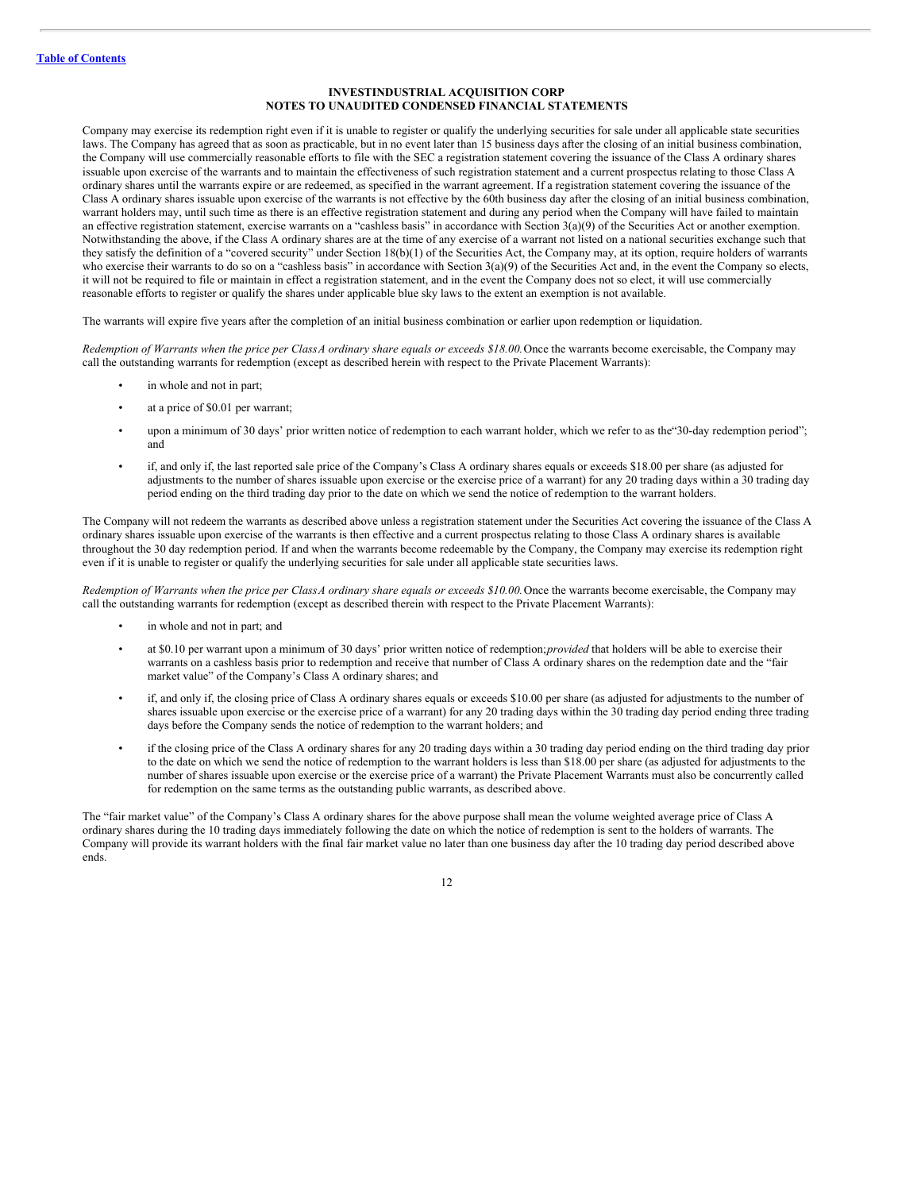Company may exercise its redemption right even if it is unable to register or qualify the underlying securities for sale under all applicable state securities laws. The Company has agreed that as soon as practicable, but in no event later than 15 business days after the closing of an initial business combination, the Company will use commercially reasonable efforts to file with the SEC a registration statement covering the issuance of the Class A ordinary shares issuable upon exercise of the warrants and to maintain the effectiveness of such registration statement and a current prospectus relating to those Class A ordinary shares until the warrants expire or are redeemed, as specified in the warrant agreement. If a registration statement covering the issuance of the Class A ordinary shares issuable upon exercise of the warrants is not effective by the 60th business day after the closing of an initial business combination, warrant holders may, until such time as there is an effective registration statement and during any period when the Company will have failed to maintain an effective registration statement, exercise warrants on a "cashless basis" in accordance with Section 3(a)(9) of the Securities Act or another exemption. Notwithstanding the above, if the Class A ordinary shares are at the time of any exercise of a warrant not listed on a national securities exchange such that they satisfy the definition of a "covered security" under Section 18(b)(1) of the Securities Act, the Company may, at its option, require holders of warrants who exercise their warrants to do so on a "cashless basis" in accordance with Section  $3(a)(9)$  of the Securities Act and, in the event the Company so elects, it will not be required to file or maintain in effect a registration statement, and in the event the Company does not so elect, it will use commercially reasonable efforts to register or qualify the shares under applicable blue sky laws to the extent an exemption is not available.

The warrants will expire five years after the completion of an initial business combination or earlier upon redemption or liquidation.

Redemption of Warrants when the price per Class A ordinary share equals or exceeds \$18.00. Once the warrants become exercisable, the Company may call the outstanding warrants for redemption (except as described herein with respect to the Private Placement Warrants):

- in whole and not in part;
- at a price of \$0.01 per warrant;
- upon a minimum of 30 days' prior written notice of redemption to each warrant holder, which we refer to as the "30-day redemption period"; and
- if, and only if, the last reported sale price of the Company's Class A ordinary shares equals or exceeds \$18.00 per share (as adjusted for adjustments to the number of shares issuable upon exercise or the exercise price of a warrant) for any 20 trading days within a 30 trading day period ending on the third trading day prior to the date on which we send the notice of redemption to the warrant holders.

The Company will not redeem the warrants as described above unless a registration statement under the Securities Act covering the issuance of the Class A ordinary shares issuable upon exercise of the warrants is then effective and a current prospectus relating to those Class A ordinary shares is available throughout the 30 day redemption period. If and when the warrants become redeemable by the Company, the Company may exercise its redemption right even if it is unable to register or qualify the underlying securities for sale under all applicable state securities laws.

Redemption of Warrants when the price per Class A ordinary share equals or exceeds \$10.00. Once the warrants become exercisable, the Company may call the outstanding warrants for redemption (except as described therein with respect to the Private Placement Warrants):

- in whole and not in part; and
- at \$0.10 per warrant upon a minimum of 30 days' prior written notice of redemption;*provided* that holders will be able to exercise their warrants on a cashless basis prior to redemption and receive that number of Class A ordinary shares on the redemption date and the "fair market value" of the Company's Class A ordinary shares; and
- if, and only if, the closing price of Class A ordinary shares equals or exceeds \$10.00 per share (as adjusted for adjustments to the number of shares issuable upon exercise or the exercise price of a warrant) for any 20 trading days within the 30 trading day period ending three trading days before the Company sends the notice of redemption to the warrant holders; and
- if the closing price of the Class A ordinary shares for any 20 trading days within a 30 trading day period ending on the third trading day prior to the date on which we send the notice of redemption to the warrant holders is less than \$18.00 per share (as adjusted for adjustments to the number of shares issuable upon exercise or the exercise price of a warrant) the Private Placement Warrants must also be concurrently called for redemption on the same terms as the outstanding public warrants, as described above.

The "fair market value" of the Company's Class A ordinary shares for the above purpose shall mean the volume weighted average price of Class A ordinary shares during the 10 trading days immediately following the date on which the notice of redemption is sent to the holders of warrants. The Company will provide its warrant holders with the final fair market value no later than one business day after the 10 trading day period described above ends.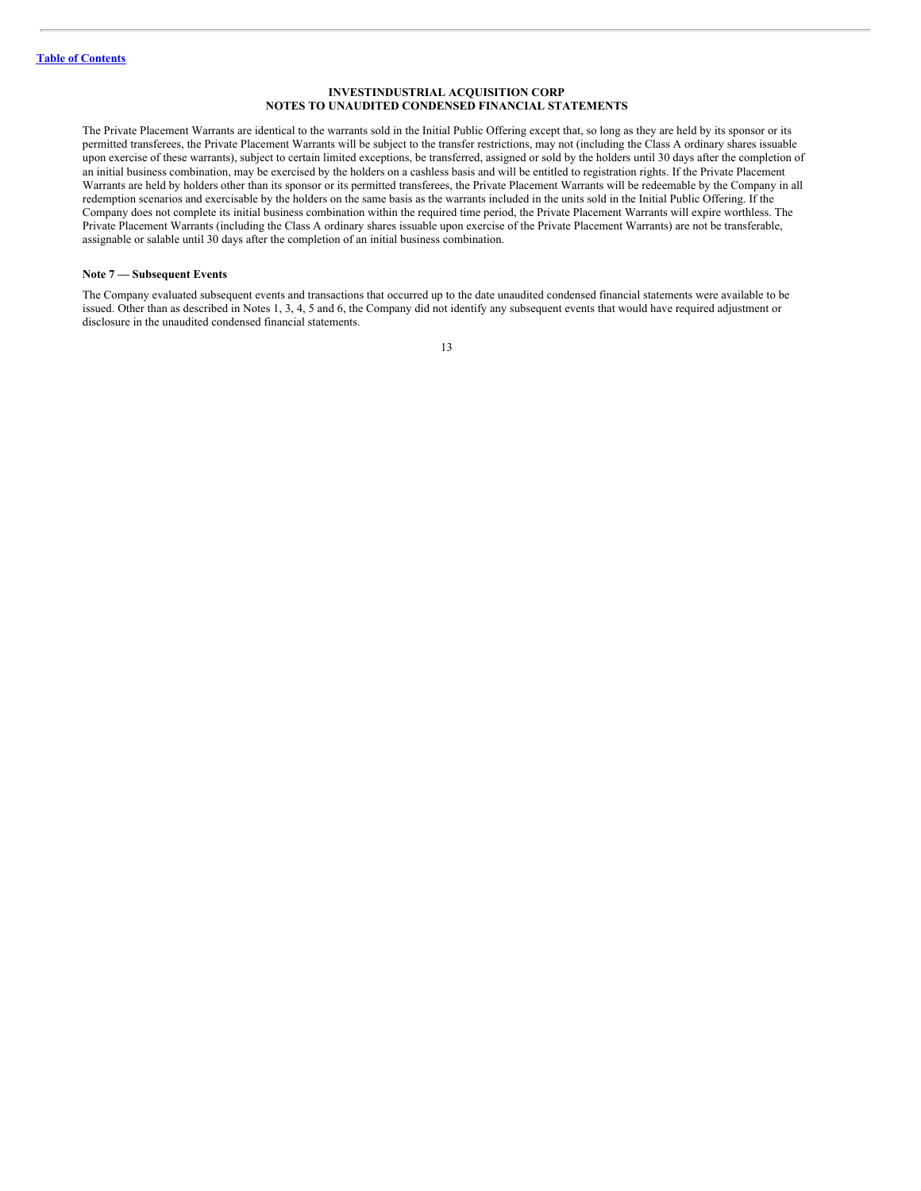The Private Placement Warrants are identical to the warrants sold in the Initial Public Offering except that, so long as they are held by its sponsor or its permitted transferees, the Private Placement Warrants will be subject to the transfer restrictions, may not (including the Class A ordinary shares issuable upon exercise of these warrants), subject to certain limited exceptions, be transferred, assigned or sold by the holders until 30 days after the completion of an initial business combination, may be exercised by the holders on a cashless basis and will be entitled to registration rights. If the Private Placement Warrants are held by holders other than its sponsor or its permitted transferees, the Private Placement Warrants will be redeemable by the Company in all redemption scenarios and exercisable by the holders on the same basis as the warrants included in the units sold in the Initial Public Offering. If the Company does not complete its initial business combination within the required time period, the Private Placement Warrants will expire worthless. The Private Placement Warrants (including the Class A ordinary shares issuable upon exercise of the Private Placement Warrants) are not be transferable, assignable or salable until 30 days after the completion of an initial business combination.

# **Note 7 — Subsequent Events**

The Company evaluated subsequent events and transactions that occurred up to the date unaudited condensed financial statements were available to be issued. Other than as described in Notes 1, 3, 4, 5 and 6, the Company did not identify any subsequent events that would have required adjustment or disclosure in the unaudited condensed financial statements.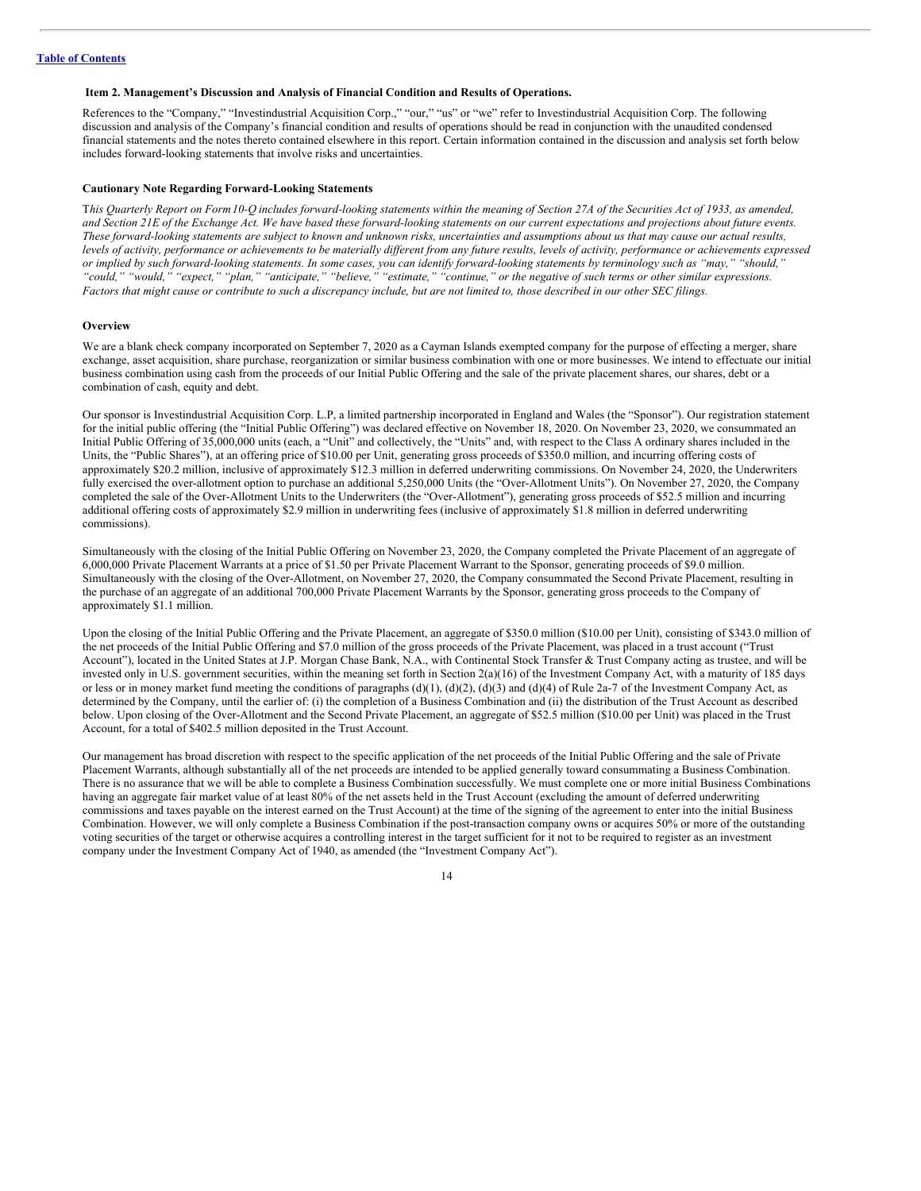# <span id="page-16-0"></span>**Item 2. Management's Discussion and Analysis of Financial Condition and Results of Operations.**

References to the "Company," "Investindustrial Acquisition Corp.," "our," "us" or "we" refer to Investindustrial Acquisition Corp. The following discussion and analysis of the Company's financial condition and results of operations should be read in conjunction with the unaudited condensed financial statements and the notes thereto contained elsewhere in this report. Certain information contained in the discussion and analysis set forth below includes forward-looking statements that involve risks and uncertainties.

## **Cautionary Note Regarding Forward-Looking Statements**

This Quarterly Report on Form 10-Q includes forward-looking statements within the meaning of Section 27A of the Securities Act of 1933, as amended, and Section 21E of the Exchange Act. We have based these forward-looking statements on our current expectations and projections about future events. These forward-looking statements are subject to known and unknown risks, uncertainties and assumptions about us that may cause our actual results, levels of activity, performance or achievements to be materially different from any future results, levels of activity, performance or achievements expressed or implied by such forward-looking statements. In some cases, you can identify forward-looking statements by terminology such as "may," "should," "could," "would," "expect," "plan," "anticipate," "believe," "estimate," "continue," or the negative of such terms or other similar expressions. Factors that might cause or contribute to such a discrepancy include, but are not limited to, those described in our other SEC filings.

#### **Overview**

We are a blank check company incorporated on September 7, 2020 as a Cayman Islands exempted company for the purpose of effecting a merger, share exchange, asset acquisition, share purchase, reorganization or similar business combination with one or more businesses. We intend to effectuate our initial business combination using cash from the proceeds of our Initial Public Offering and the sale of the private placement shares, our shares, debt or a combination of cash, equity and debt.

Our sponsor is Investindustrial Acquisition Corp. L.P, a limited partnership incorporated in England and Wales (the "Sponsor"). Our registration statement for the initial public offering (the "Initial Public Offering") was declared effective on November 18, 2020. On November 23, 2020, we consummated an Initial Public Offering of 35,000,000 units (each, a "Unit" and collectively, the "Units" and, with respect to the Class A ordinary shares included in the Units, the "Public Shares"), at an offering price of \$10.00 per Unit, generating gross proceeds of \$350.0 million, and incurring offering costs of approximately \$20.2 million, inclusive of approximately \$12.3 million in deferred underwriting commissions. On November 24, 2020, the Underwriters fully exercised the over-allotment option to purchase an additional 5,250,000 Units (the "Over-Allotment Units"). On November 27, 2020, the Company completed the sale of the Over-Allotment Units to the Underwriters (the "Over-Allotment"), generating gross proceeds of \$52.5 million and incurring additional offering costs of approximately \$2.9 million in underwriting fees (inclusive of approximately \$1.8 million in deferred underwriting commissions).

Simultaneously with the closing of the Initial Public Offering on November 23, 2020, the Company completed the Private Placement of an aggregate of 6,000,000 Private Placement Warrants at a price of \$1.50 per Private Placement Warrant to the Sponsor, generating proceeds of \$9.0 million. Simultaneously with the closing of the Over-Allotment, on November 27, 2020, the Company consummated the Second Private Placement, resulting in the purchase of an aggregate of an additional 700,000 Private Placement Warrants by the Sponsor, generating gross proceeds to the Company of approximately \$1.1 million.

Upon the closing of the Initial Public Offering and the Private Placement, an aggregate of \$350.0 million (\$10.00 per Unit), consisting of \$343.0 million of the net proceeds of the Initial Public Offering and \$7.0 million of the gross proceeds of the Private Placement, was placed in a trust account ("Trust Account"), located in the United States at J.P. Morgan Chase Bank, N.A., with Continental Stock Transfer & Trust Company acting as trustee, and will be invested only in U.S. government securities, within the meaning set forth in Section 2(a)(16) of the Investment Company Act, with a maturity of 185 days or less or in money market fund meeting the conditions of paragraphs (d)(1), (d)(2), (d)(3) and (d)(4) of Rule 2a-7 of the Investment Company Act, as determined by the Company, until the earlier of: (i) the completion of a Business Combination and (ii) the distribution of the Trust Account as described below. Upon closing of the Over-Allotment and the Second Private Placement, an aggregate of \$52.5 million (\$10.00 per Unit) was placed in the Trust Account, for a total of \$402.5 million deposited in the Trust Account.

Our management has broad discretion with respect to the specific application of the net proceeds of the Initial Public Offering and the sale of Private Placement Warrants, although substantially all of the net proceeds are intended to be applied generally toward consummating a Business Combination. There is no assurance that we will be able to complete a Business Combination successfully. We must complete one or more initial Business Combinations having an aggregate fair market value of at least 80% of the net assets held in the Trust Account (excluding the amount of deferred underwriting commissions and taxes payable on the interest earned on the Trust Account) at the time of the signing of the agreement to enter into the initial Business Combination. However, we will only complete a Business Combination if the post-transaction company owns or acquires 50% or more of the outstanding voting securities of the target or otherwise acquires a controlling interest in the target sufficient for it not to be required to register as an investment company under the Investment Company Act of 1940, as amended (the "Investment Company Act").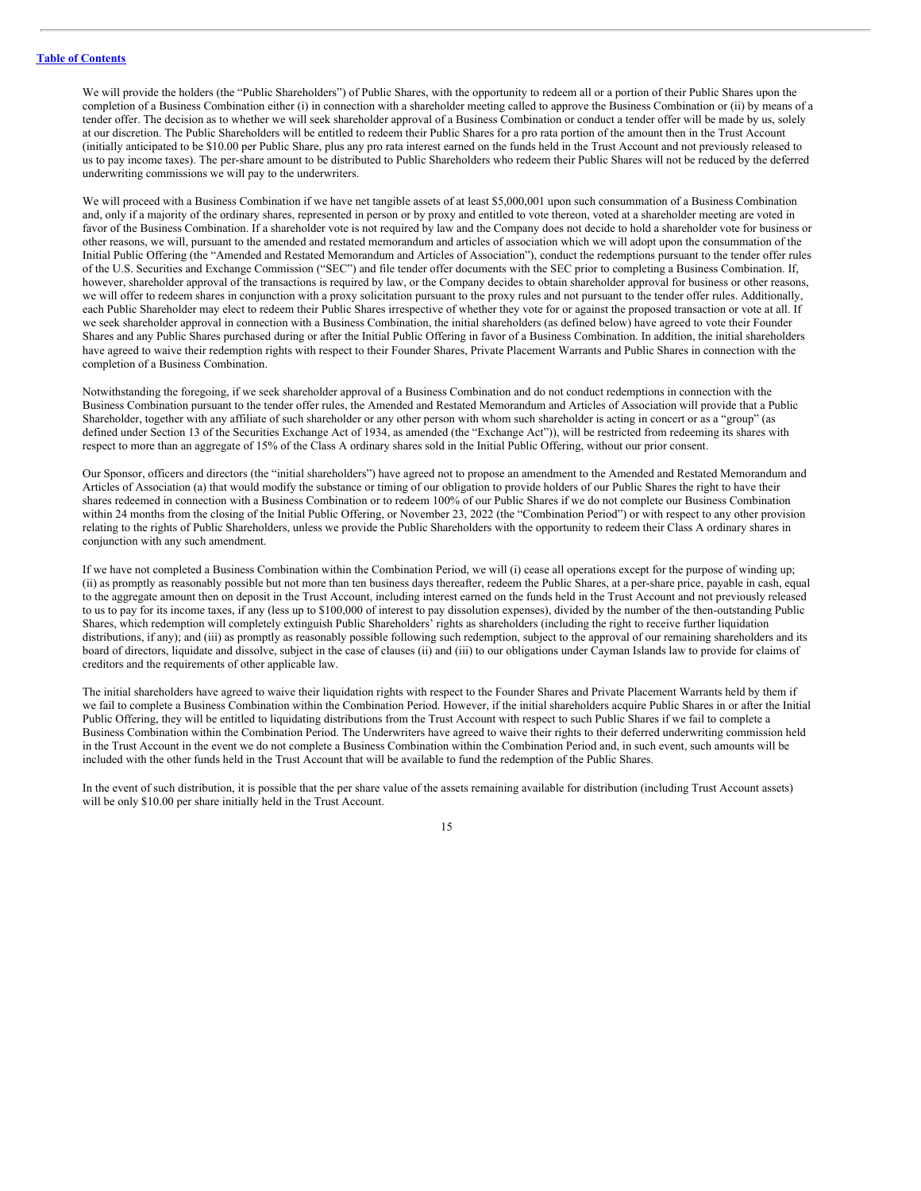We will provide the holders (the "Public Shareholders") of Public Shares, with the opportunity to redeem all or a portion of their Public Shares upon the completion of a Business Combination either (i) in connection with a shareholder meeting called to approve the Business Combination or (ii) by means of a tender offer. The decision as to whether we will seek shareholder approval of a Business Combination or conduct a tender offer will be made by us, solely at our discretion. The Public Shareholders will be entitled to redeem their Public Shares for a pro rata portion of the amount then in the Trust Account (initially anticipated to be \$10.00 per Public Share, plus any pro rata interest earned on the funds held in the Trust Account and not previously released to us to pay income taxes). The per-share amount to be distributed to Public Shareholders who redeem their Public Shares will not be reduced by the deferred underwriting commissions we will pay to the underwriters.

We will proceed with a Business Combination if we have net tangible assets of at least \$5,000,001 upon such consummation of a Business Combination and, only if a majority of the ordinary shares, represented in person or by proxy and entitled to vote thereon, voted at a shareholder meeting are voted in favor of the Business Combination. If a shareholder vote is not required by law and the Company does not decide to hold a shareholder vote for business or other reasons, we will, pursuant to the amended and restated memorandum and articles of association which we will adopt upon the consummation of the Initial Public Offering (the "Amended and Restated Memorandum and Articles of Association"), conduct the redemptions pursuant to the tender offer rules of the U.S. Securities and Exchange Commission ("SEC") and file tender offer documents with the SEC prior to completing a Business Combination. If, however, shareholder approval of the transactions is required by law, or the Company decides to obtain shareholder approval for business or other reasons, we will offer to redeem shares in conjunction with a proxy solicitation pursuant to the proxy rules and not pursuant to the tender offer rules. Additionally, each Public Shareholder may elect to redeem their Public Shares irrespective of whether they vote for or against the proposed transaction or vote at all. If we seek shareholder approval in connection with a Business Combination, the initial shareholders (as defined below) have agreed to vote their Founder Shares and any Public Shares purchased during or after the Initial Public Offering in favor of a Business Combination. In addition, the initial shareholders have agreed to waive their redemption rights with respect to their Founder Shares, Private Placement Warrants and Public Shares in connection with the completion of a Business Combination.

Notwithstanding the foregoing, if we seek shareholder approval of a Business Combination and do not conduct redemptions in connection with the Business Combination pursuant to the tender offer rules, the Amended and Restated Memorandum and Articles of Association will provide that a Public Shareholder, together with any affiliate of such shareholder or any other person with whom such shareholder is acting in concert or as a "group" (as defined under Section 13 of the Securities Exchange Act of 1934, as amended (the "Exchange Act")), will be restricted from redeeming its shares with respect to more than an aggregate of 15% of the Class A ordinary shares sold in the Initial Public Offering, without our prior consent.

Our Sponsor, officers and directors (the "initial shareholders") have agreed not to propose an amendment to the Amended and Restated Memorandum and Articles of Association (a) that would modify the substance or timing of our obligation to provide holders of our Public Shares the right to have their shares redeemed in connection with a Business Combination or to redeem 100% of our Public Shares if we do not complete our Business Combination within 24 months from the closing of the Initial Public Offering, or November 23, 2022 (the "Combination Period") or with respect to any other provision relating to the rights of Public Shareholders, unless we provide the Public Shareholders with the opportunity to redeem their Class A ordinary shares in conjunction with any such amendment.

If we have not completed a Business Combination within the Combination Period, we will (i) cease all operations except for the purpose of winding up; (ii) as promptly as reasonably possible but not more than ten business days thereafter, redeem the Public Shares, at a per-share price, payable in cash, equal to the aggregate amount then on deposit in the Trust Account, including interest earned on the funds held in the Trust Account and not previously released to us to pay for its income taxes, if any (less up to \$100,000 of interest to pay dissolution expenses), divided by the number of the then-outstanding Public Shares, which redemption will completely extinguish Public Shareholders' rights as shareholders (including the right to receive further liquidation distributions, if any); and (iii) as promptly as reasonably possible following such redemption, subject to the approval of our remaining shareholders and its board of directors, liquidate and dissolve, subject in the case of clauses (ii) and (iii) to our obligations under Cayman Islands law to provide for claims of creditors and the requirements of other applicable law.

The initial shareholders have agreed to waive their liquidation rights with respect to the Founder Shares and Private Placement Warrants held by them if we fail to complete a Business Combination within the Combination Period. However, if the initial shareholders acquire Public Shares in or after the Initial Public Offering, they will be entitled to liquidating distributions from the Trust Account with respect to such Public Shares if we fail to complete a Business Combination within the Combination Period. The Underwriters have agreed to waive their rights to their deferred underwriting commission held in the Trust Account in the event we do not complete a Business Combination within the Combination Period and, in such event, such amounts will be included with the other funds held in the Trust Account that will be available to fund the redemption of the Public Shares.

In the event of such distribution, it is possible that the per share value of the assets remaining available for distribution (including Trust Account assets) will be only \$10.00 per share initially held in the Trust Account.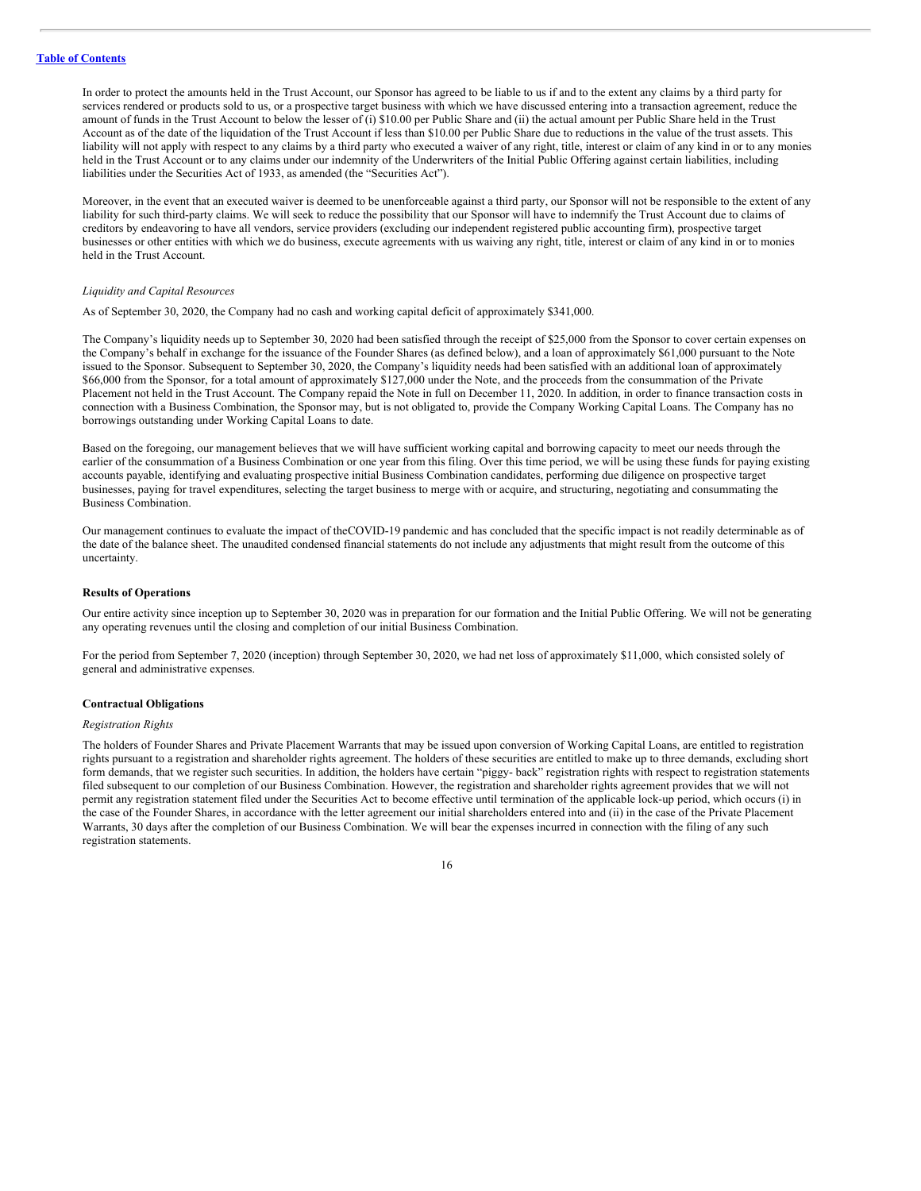In order to protect the amounts held in the Trust Account, our Sponsor has agreed to be liable to us if and to the extent any claims by a third party for services rendered or products sold to us, or a prospective target business with which we have discussed entering into a transaction agreement, reduce the amount of funds in the Trust Account to below the lesser of (i) \$10.00 per Public Share and (ii) the actual amount per Public Share held in the Trust Account as of the date of the liquidation of the Trust Account if less than \$10.00 per Public Share due to reductions in the value of the trust assets. This liability will not apply with respect to any claims by a third party who executed a waiver of any right, title, interest or claim of any kind in or to any monies held in the Trust Account or to any claims under our indemnity of the Underwriters of the Initial Public Offering against certain liabilities, including liabilities under the Securities Act of 1933, as amended (the "Securities Act").

Moreover, in the event that an executed waiver is deemed to be unenforceable against a third party, our Sponsor will not be responsible to the extent of any liability for such third-party claims. We will seek to reduce the possibility that our Sponsor will have to indemnify the Trust Account due to claims of creditors by endeavoring to have all vendors, service providers (excluding our independent registered public accounting firm), prospective target businesses or other entities with which we do business, execute agreements with us waiving any right, title, interest or claim of any kind in or to monies held in the Trust Account.

# *Liquidity and Capital Resources*

As of September 30, 2020, the Company had no cash and working capital deficit of approximately \$341,000.

The Company's liquidity needs up to September 30, 2020 had been satisfied through the receipt of \$25,000 from the Sponsor to cover certain expenses on the Company's behalf in exchange for the issuance of the Founder Shares (as defined below), and a loan of approximately \$61,000 pursuant to the Note issued to the Sponsor. Subsequent to September 30, 2020, the Company's liquidity needs had been satisfied with an additional loan of approximately \$66,000 from the Sponsor, for a total amount of approximately \$127,000 under the Note, and the proceeds from the consummation of the Private Placement not held in the Trust Account. The Company repaid the Note in full on December 11, 2020. In addition, in order to finance transaction costs in connection with a Business Combination, the Sponsor may, but is not obligated to, provide the Company Working Capital Loans. The Company has no borrowings outstanding under Working Capital Loans to date.

Based on the foregoing, our management believes that we will have sufficient working capital and borrowing capacity to meet our needs through the earlier of the consummation of a Business Combination or one year from this filing. Over this time period, we will be using these funds for paying existing accounts payable, identifying and evaluating prospective initial Business Combination candidates, performing due diligence on prospective target businesses, paying for travel expenditures, selecting the target business to merge with or acquire, and structuring, negotiating and consummating the Business Combination.

Our management continues to evaluate the impact of theCOVID-19 pandemic and has concluded that the specific impact is not readily determinable as of the date of the balance sheet. The unaudited condensed financial statements do not include any adjustments that might result from the outcome of this uncertainty.

# **Results of Operations**

Our entire activity since inception up to September 30, 2020 was in preparation for our formation and the Initial Public Offering. We will not be generating any operating revenues until the closing and completion of our initial Business Combination.

For the period from September 7, 2020 (inception) through September 30, 2020, we had net loss of approximately \$11,000, which consisted solely of general and administrative expenses.

#### **Contractual Obligations**

# *Registration Rights*

The holders of Founder Shares and Private Placement Warrants that may be issued upon conversion of Working Capital Loans, are entitled to registration rights pursuant to a registration and shareholder rights agreement. The holders of these securities are entitled to make up to three demands, excluding short form demands, that we register such securities. In addition, the holders have certain "piggy- back" registration rights with respect to registration statements filed subsequent to our completion of our Business Combination. However, the registration and shareholder rights agreement provides that we will not permit any registration statement filed under the Securities Act to become effective until termination of the applicable lock-up period, which occurs (i) in the case of the Founder Shares, in accordance with the letter agreement our initial shareholders entered into and (ii) in the case of the Private Placement Warrants, 30 days after the completion of our Business Combination. We will bear the expenses incurred in connection with the filing of any such registration statements.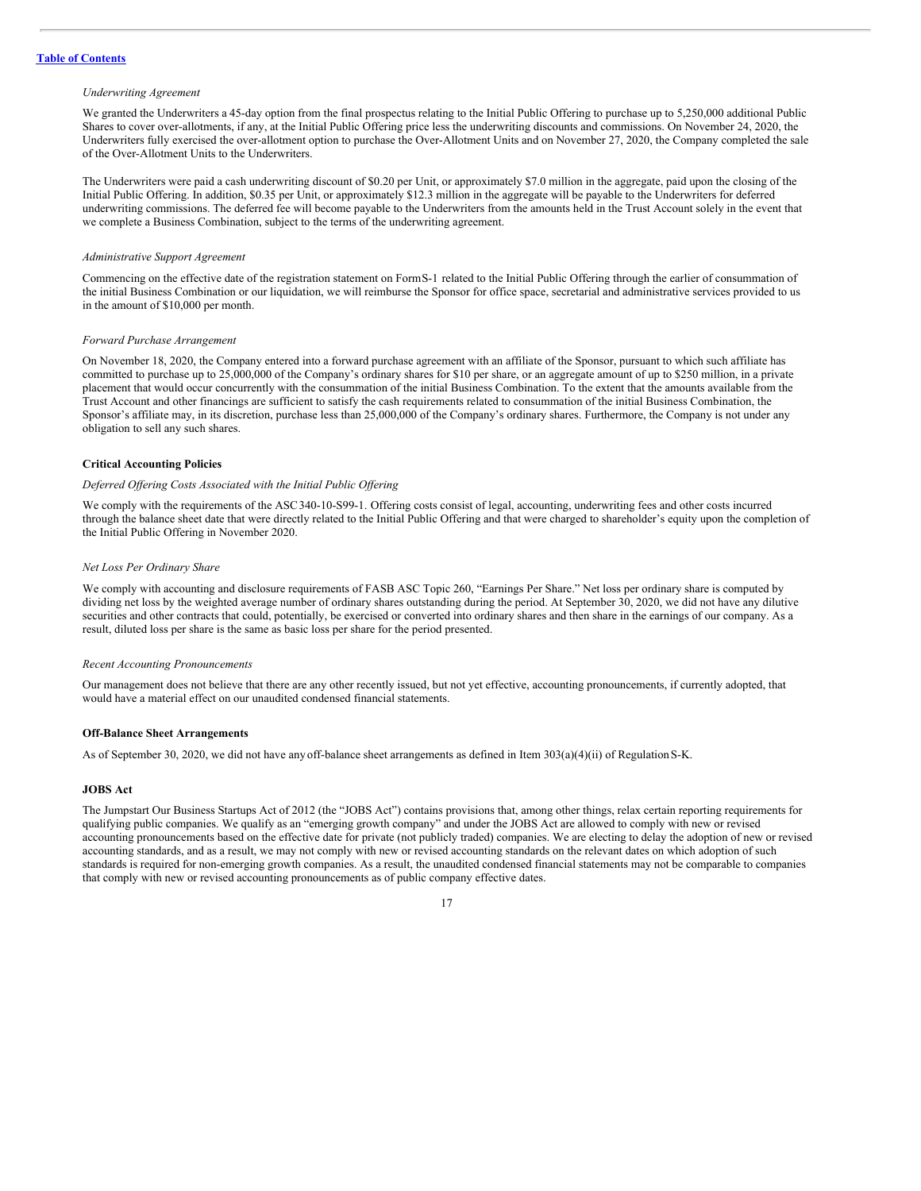#### *Underwriting Agreement*

We granted the Underwriters a 45-day option from the final prospectus relating to the Initial Public Offering to purchase up to 5,250,000 additional Public Shares to cover over-allotments, if any, at the Initial Public Offering price less the underwriting discounts and commissions. On November 24, 2020, the Underwriters fully exercised the over-allotment option to purchase the Over-Allotment Units and on November 27, 2020, the Company completed the sale of the Over-Allotment Units to the Underwriters.

The Underwriters were paid a cash underwriting discount of \$0.20 per Unit, or approximately \$7.0 million in the aggregate, paid upon the closing of the Initial Public Offering. In addition, \$0.35 per Unit, or approximately \$12.3 million in the aggregate will be payable to the Underwriters for deferred underwriting commissions. The deferred fee will become payable to the Underwriters from the amounts held in the Trust Account solely in the event that we complete a Business Combination, subject to the terms of the underwriting agreement.

#### *Administrative Support Agreement*

Commencing on the effective date of the registration statement on FormS-1 related to the Initial Public Offering through the earlier of consummation of the initial Business Combination or our liquidation, we will reimburse the Sponsor for office space, secretarial and administrative services provided to us in the amount of \$10,000 per month.

#### *Forward Purchase Arrangement*

On November 18, 2020, the Company entered into a forward purchase agreement with an affiliate of the Sponsor, pursuant to which such affiliate has committed to purchase up to 25,000,000 of the Company's ordinary shares for \$10 per share, or an aggregate amount of up to \$250 million, in a private placement that would occur concurrently with the consummation of the initial Business Combination. To the extent that the amounts available from the Trust Account and other financings are sufficient to satisfy the cash requirements related to consummation of the initial Business Combination, the Sponsor's affiliate may, in its discretion, purchase less than 25,000,000 of the Company's ordinary shares. Furthermore, the Company is not under any obligation to sell any such shares.

# **Critical Accounting Policies**

#### *Deferred Of ering Costs Associated with the Initial Public Of ering*

We comply with the requirements of the ASC340-10-S99-1. Offering costs consist of legal, accounting, underwriting fees and other costs incurred through the balance sheet date that were directly related to the Initial Public Offering and that were charged to shareholder's equity upon the completion of the Initial Public Offering in November 2020.

#### *Net Loss Per Ordinary Share*

We comply with accounting and disclosure requirements of FASB ASC Topic 260, "Earnings Per Share." Net loss per ordinary share is computed by dividing net loss by the weighted average number of ordinary shares outstanding during the period. At September 30, 2020, we did not have any dilutive securities and other contracts that could, potentially, be exercised or converted into ordinary shares and then share in the earnings of our company. As a result, diluted loss per share is the same as basic loss per share for the period presented.

#### *Recent Accounting Pronouncements*

Our management does not believe that there are any other recently issued, but not yet effective, accounting pronouncements, if currently adopted, that would have a material effect on our unaudited condensed financial statements.

# **Off-Balance Sheet Arrangements**

As of September 30, 2020, we did not have any off-balance sheet arrangements as defined in Item 303(a)(4)(ii) of RegulationS-K.

#### **JOBS Act**

The Jumpstart Our Business Startups Act of 2012 (the "JOBS Act") contains provisions that, among other things, relax certain reporting requirements for qualifying public companies. We qualify as an "emerging growth company" and under the JOBS Act are allowed to comply with new or revised accounting pronouncements based on the effective date for private (not publicly traded) companies. We are electing to delay the adoption of new or revised accounting standards, and as a result, we may not comply with new or revised accounting standards on the relevant dates on which adoption of such standards is required for non-emerging growth companies. As a result, the unaudited condensed financial statements may not be comparable to companies that comply with new or revised accounting pronouncements as of public company effective dates.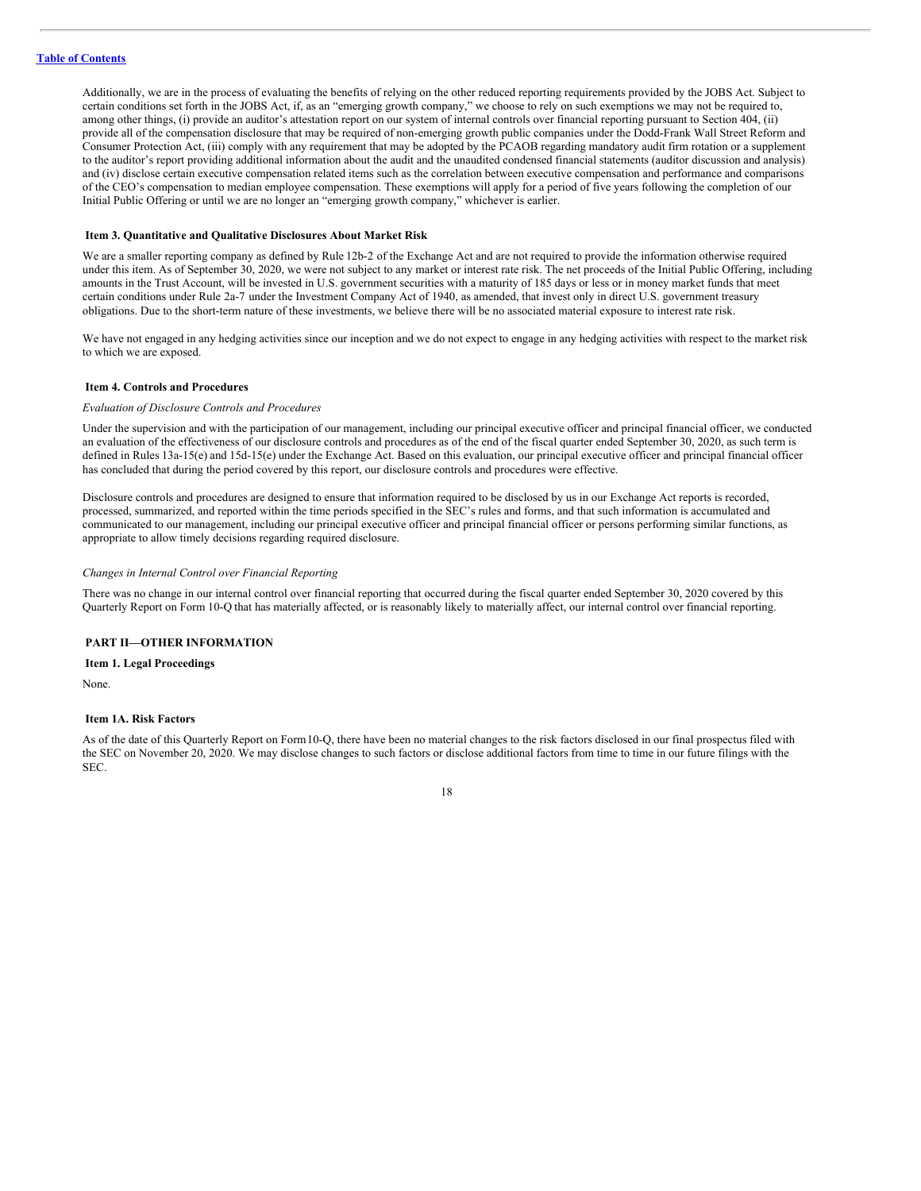Additionally, we are in the process of evaluating the benefits of relying on the other reduced reporting requirements provided by the JOBS Act. Subject to certain conditions set forth in the JOBS Act, if, as an "emerging growth company," we choose to rely on such exemptions we may not be required to, among other things, (i) provide an auditor's attestation report on our system of internal controls over financial reporting pursuant to Section 404, (ii) provide all of the compensation disclosure that may be required of non-emerging growth public companies under the Dodd-Frank Wall Street Reform and Consumer Protection Act, (iii) comply with any requirement that may be adopted by the PCAOB regarding mandatory audit firm rotation or a supplement to the auditor's report providing additional information about the audit and the unaudited condensed financial statements (auditor discussion and analysis) and (iv) disclose certain executive compensation related items such as the correlation between executive compensation and performance and comparisons of the CEO's compensation to median employee compensation. These exemptions will apply for a period of five years following the completion of our Initial Public Offering or until we are no longer an "emerging growth company," whichever is earlier.

## <span id="page-20-0"></span>**Item 3. Quantitative and Qualitative Disclosures About Market Risk**

We are a smaller reporting company as defined by Rule 12b-2 of the Exchange Act and are not required to provide the information otherwise required under this item. As of September 30, 2020, we were not subject to any market or interest rate risk. The net proceeds of the Initial Public Offering, including amounts in the Trust Account, will be invested in U.S. government securities with a maturity of 185 days or less or in money market funds that meet certain conditions under Rule 2a-7 under the Investment Company Act of 1940, as amended, that invest only in direct U.S. government treasury obligations. Due to the short-term nature of these investments, we believe there will be no associated material exposure to interest rate risk.

We have not engaged in any hedging activities since our inception and we do not expect to engage in any hedging activities with respect to the market risk to which we are exposed.

#### <span id="page-20-1"></span>**Item 4. Controls and Procedures**

#### *Evaluation of Disclosure Controls and Procedures*

Under the supervision and with the participation of our management, including our principal executive officer and principal financial officer, we conducted an evaluation of the effectiveness of our disclosure controls and procedures as of the end of the fiscal quarter ended September 30, 2020, as such term is defined in Rules 13a-15(e) and 15d-15(e) under the Exchange Act. Based on this evaluation, our principal executive officer and principal financial officer has concluded that during the period covered by this report, our disclosure controls and procedures were effective.

Disclosure controls and procedures are designed to ensure that information required to be disclosed by us in our Exchange Act reports is recorded, processed, summarized, and reported within the time periods specified in the SEC's rules and forms, and that such information is accumulated and communicated to our management, including our principal executive officer and principal financial officer or persons performing similar functions, as appropriate to allow timely decisions regarding required disclosure.

#### *Changes in Internal Control over Financial Reporting*

There was no change in our internal control over financial reporting that occurred during the fiscal quarter ended September 30, 2020 covered by this Quarterly Report on Form 10-Q that has materially affected, or is reasonably likely to materially affect, our internal control over financial reporting.

# <span id="page-20-2"></span>**PART II—OTHER INFORMATION**

<span id="page-20-3"></span>**Item 1. Legal Proceedings**

None.

## <span id="page-20-4"></span>**Item 1A. Risk Factors**

As of the date of this Quarterly Report on Form10-Q, there have been no material changes to the risk factors disclosed in our final prospectus filed with the SEC on November 20, 2020. We may disclose changes to such factors or disclose additional factors from time to time in our future filings with the SEC.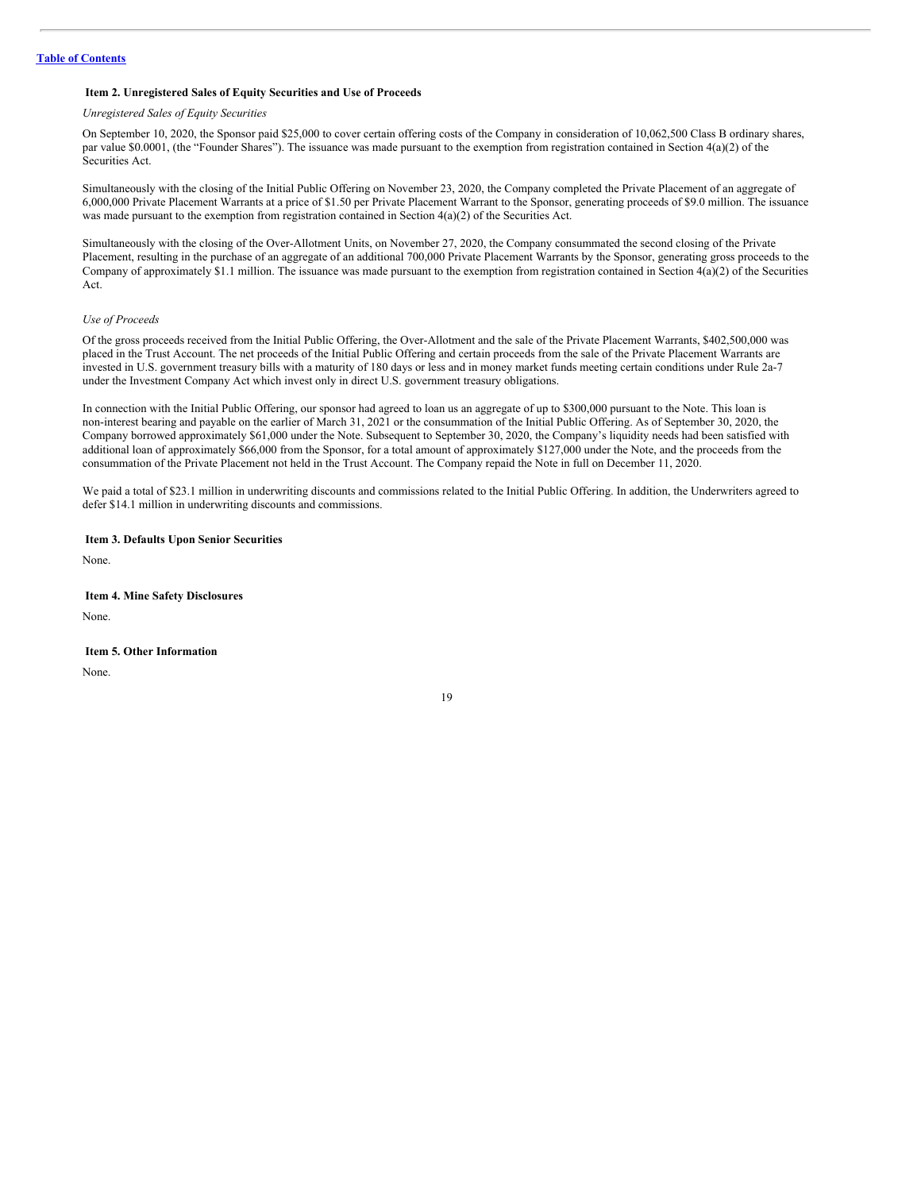# <span id="page-21-0"></span>**Item 2. Unregistered Sales of Equity Securities and Use of Proceeds**

#### *Unregistered Sales of Equity Securities*

On September 10, 2020, the Sponsor paid \$25,000 to cover certain offering costs of the Company in consideration of 10,062,500 Class B ordinary shares, par value \$0.0001, (the "Founder Shares"). The issuance was made pursuant to the exemption from registration contained in Section 4(a)(2) of the Securities Act.

Simultaneously with the closing of the Initial Public Offering on November 23, 2020, the Company completed the Private Placement of an aggregate of 6,000,000 Private Placement Warrants at a price of \$1.50 per Private Placement Warrant to the Sponsor, generating proceeds of \$9.0 million. The issuance was made pursuant to the exemption from registration contained in Section 4(a)(2) of the Securities Act.

Simultaneously with the closing of the Over-Allotment Units, on November 27, 2020, the Company consummated the second closing of the Private Placement, resulting in the purchase of an aggregate of an additional 700,000 Private Placement Warrants by the Sponsor, generating gross proceeds to the Company of approximately \$1.1 million. The issuance was made pursuant to the exemption from registration contained in Section 4(a)(2) of the Securities Act.

# *Use of Proceeds*

Of the gross proceeds received from the Initial Public Offering, the Over-Allotment and the sale of the Private Placement Warrants, \$402,500,000 was placed in the Trust Account. The net proceeds of the Initial Public Offering and certain proceeds from the sale of the Private Placement Warrants are invested in U.S. government treasury bills with a maturity of 180 days or less and in money market funds meeting certain conditions under Rule 2a-7 under the Investment Company Act which invest only in direct U.S. government treasury obligations.

In connection with the Initial Public Offering, our sponsor had agreed to loan us an aggregate of up to \$300,000 pursuant to the Note. This loan is non-interest bearing and payable on the earlier of March 31, 2021 or the consummation of the Initial Public Offering. As of September 30, 2020, the Company borrowed approximately \$61,000 under the Note. Subsequent to September 30, 2020, the Company's liquidity needs had been satisfied with additional loan of approximately \$66,000 from the Sponsor, for a total amount of approximately \$127,000 under the Note, and the proceeds from the consummation of the Private Placement not held in the Trust Account. The Company repaid the Note in full on December 11, 2020.

We paid a total of \$23.1 million in underwriting discounts and commissions related to the Initial Public Offering. In addition, the Underwriters agreed to defer \$14.1 million in underwriting discounts and commissions.

# <span id="page-21-1"></span>**Item 3. Defaults Upon Senior Securities**

None.

<span id="page-21-2"></span>**Item 4. Mine Safety Disclosures**

None.

# <span id="page-21-3"></span>**Item 5. Other Information**

None.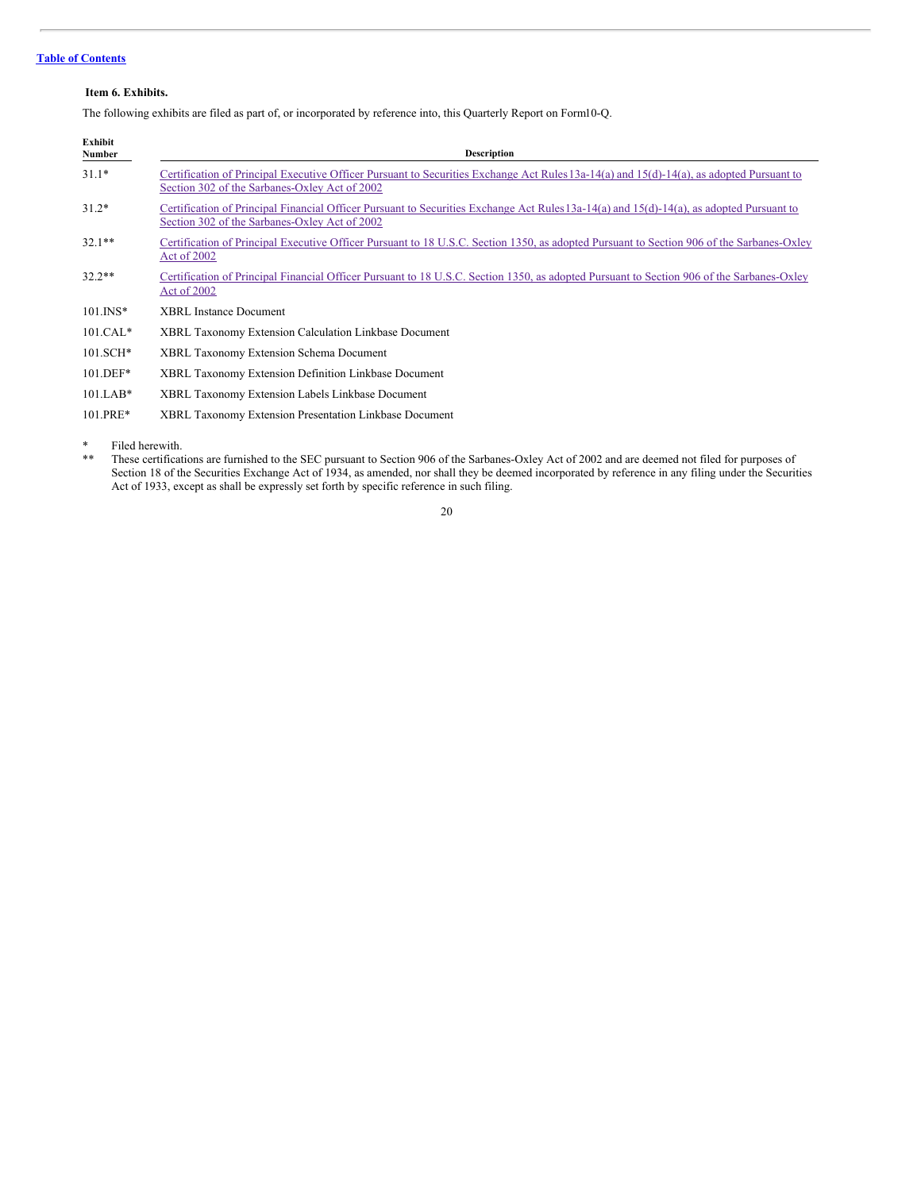# <span id="page-22-0"></span>**Item 6. Exhibits.**

The following exhibits are filed as part of, or incorporated by reference into, this Quarterly Report on Form10-Q.

| <b>Exhibit</b><br>Number | <b>Description</b>                                                                                                                                                                        |
|--------------------------|-------------------------------------------------------------------------------------------------------------------------------------------------------------------------------------------|
| $31.1*$                  | Certification of Principal Executive Officer Pursuant to Securities Exchange Act Rules 13a-14(a) and 15(d)-14(a), as adopted Pursuant to<br>Section 302 of the Sarbanes-Oxley Act of 2002 |
| $31.2*$                  | Certification of Principal Financial Officer Pursuant to Securities Exchange Act Rules 13a-14(a) and 15(d)-14(a), as adopted Pursuant to<br>Section 302 of the Sarbanes-Oxley Act of 2002 |
| $32.1**$                 | Certification of Principal Executive Officer Pursuant to 18 U.S.C. Section 1350, as adopted Pursuant to Section 906 of the Sarbanes-Oxley<br>Act of 2002                                  |
| $32.2**$                 | Certification of Principal Financial Officer Pursuant to 18 U.S.C. Section 1350, as adopted Pursuant to Section 906 of the Sarbanes-Oxley<br>Act of 2002                                  |
| $101$ . INS*             | <b>XBRL Instance Document</b>                                                                                                                                                             |
| $101.CAL*$               | <b>XBRL Taxonomy Extension Calculation Linkbase Document</b>                                                                                                                              |
| $101.SCH*$               | <b>XBRL Taxonomy Extension Schema Document</b>                                                                                                                                            |
| $101.DEF*$               | XBRL Taxonomy Extension Definition Linkbase Document                                                                                                                                      |
| $101.LAB*$               | XBRL Taxonomy Extension Labels Linkbase Document                                                                                                                                          |

101.PRE\* XBRL Taxonomy Extension Presentation Linkbase Document

Filed herewith.

\*\* These certifications are furnished to the SEC pursuant to Section 906 of the Sarbanes-Oxley Act of 2002 and are deemed not filed for purposes of Section 18 of the Securities Exchange Act of 1934, as amended, nor shall they be deemed incorporated by reference in any filing under the Securities Act of 1933, except as shall be expressly set forth by specific reference in such filing.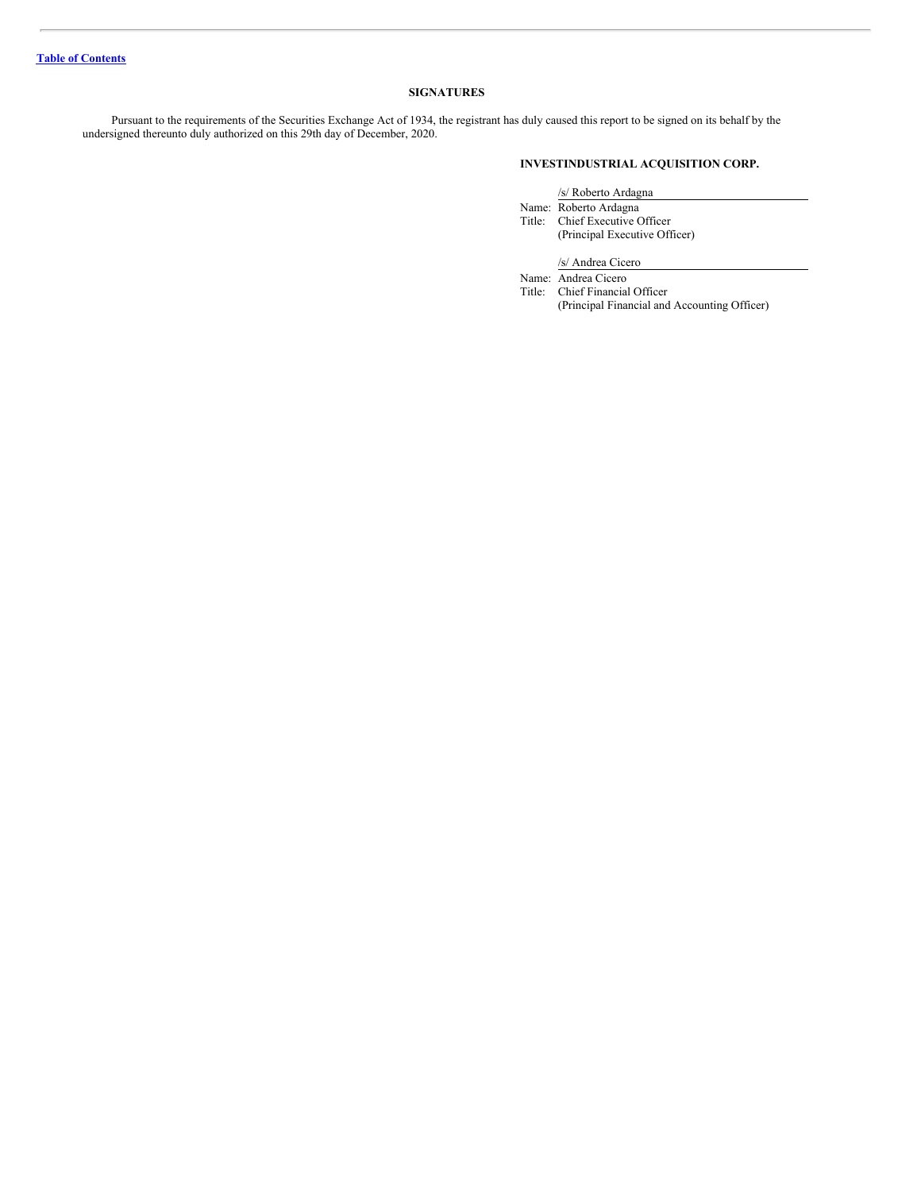# **SIGNATURES**

Pursuant to the requirements of the Securities Exchange Act of 1934, the registrant has duly caused this report to be signed on its behalf by the undersigned thereunto duly authorized on this 29th day of December, 2020.

# **INVESTINDUSTRIAL ACQUISITION CORP.**

/s/ Roberto Ardagna

Name: Roberto Ardagna Title: Chief Executive Officer (Principal Executive Officer)

/s/ Andrea Cicero

Name: Andrea Cicero Title: Chief Financial Officer

(Principal Financial and Accounting Officer)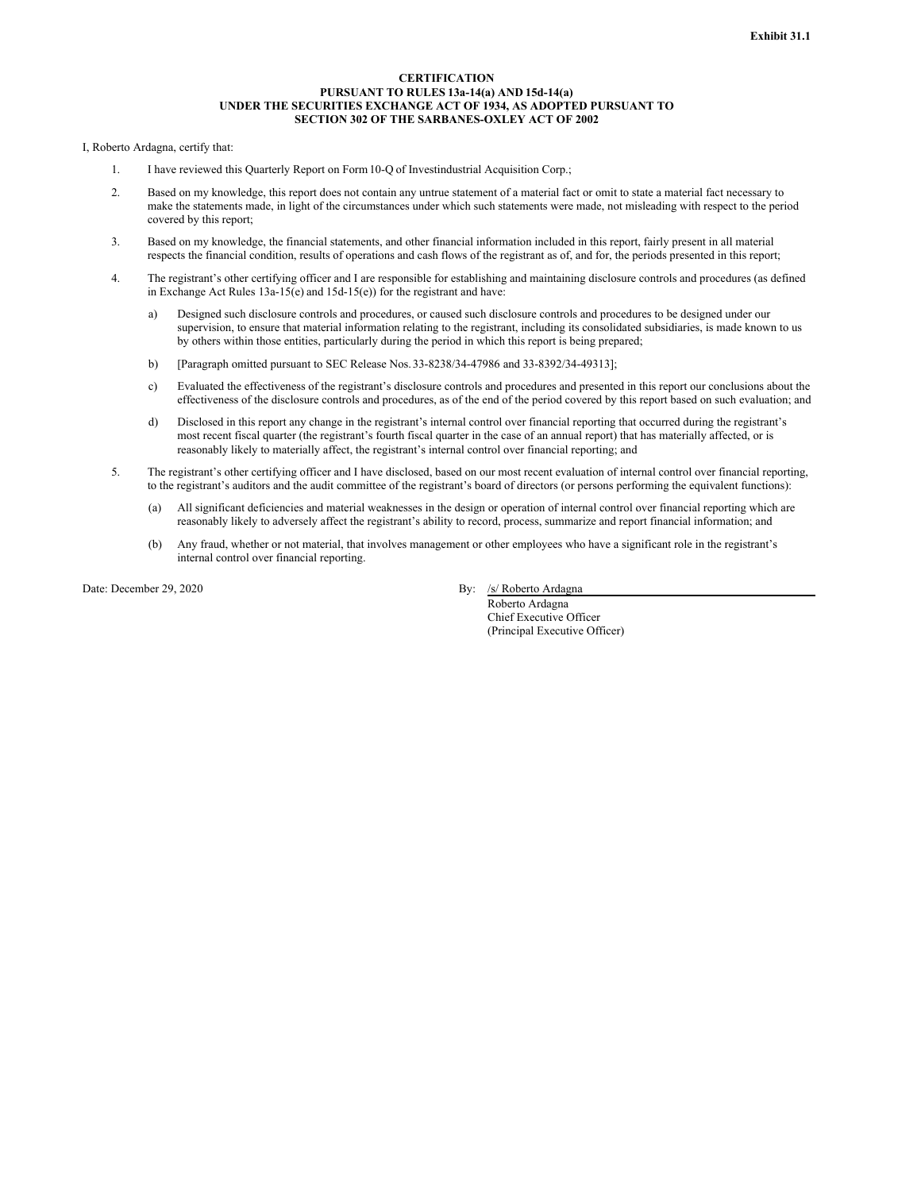#### **CERTIFICATION PURSUANT TO RULES 13a-14(a) AND 15d-14(a) UNDER THE SECURITIES EXCHANGE ACT OF 1934, AS ADOPTED PURSUANT TO SECTION 302 OF THE SARBANES-OXLEY ACT OF 2002**

#### <span id="page-24-0"></span>I, Roberto Ardagna, certify that:

- 1. I have reviewed this Quarterly Report on Form10-Q of Investindustrial Acquisition Corp.;
- 2. Based on my knowledge, this report does not contain any untrue statement of a material fact or omit to state a material fact necessary to make the statements made, in light of the circumstances under which such statements were made, not misleading with respect to the period covered by this report;
- 3. Based on my knowledge, the financial statements, and other financial information included in this report, fairly present in all material respects the financial condition, results of operations and cash flows of the registrant as of, and for, the periods presented in this report;
- 4. The registrant's other certifying officer and I are responsible for establishing and maintaining disclosure controls and procedures (as defined in Exchange Act Rules 13a-15(e) and 15d-15(e)) for the registrant and have:
	- a) Designed such disclosure controls and procedures, or caused such disclosure controls and procedures to be designed under our supervision, to ensure that material information relating to the registrant, including its consolidated subsidiaries, is made known to us by others within those entities, particularly during the period in which this report is being prepared;
	- b) [Paragraph omitted pursuant to SEC Release Nos.33-8238/34-47986 and 33-8392/34-49313];
	- c) Evaluated the effectiveness of the registrant's disclosure controls and procedures and presented in this report our conclusions about the effectiveness of the disclosure controls and procedures, as of the end of the period covered by this report based on such evaluation; and
	- d) Disclosed in this report any change in the registrant's internal control over financial reporting that occurred during the registrant's most recent fiscal quarter (the registrant's fourth fiscal quarter in the case of an annual report) that has materially affected, or is reasonably likely to materially affect, the registrant's internal control over financial reporting; and
- 5. The registrant's other certifying officer and I have disclosed, based on our most recent evaluation of internal control over financial reporting, to the registrant's auditors and the audit committee of the registrant's board of directors (or persons performing the equivalent functions):
	- (a) All significant deficiencies and material weaknesses in the design or operation of internal control over financial reporting which are reasonably likely to adversely affect the registrant's ability to record, process, summarize and report financial information; and
	- (b) Any fraud, whether or not material, that involves management or other employees who have a significant role in the registrant's internal control over financial reporting.

Date: December 29, 2020 By: /s/ Roberto Ardagna

Roberto Ardagna Chief Executive Officer (Principal Executive Officer)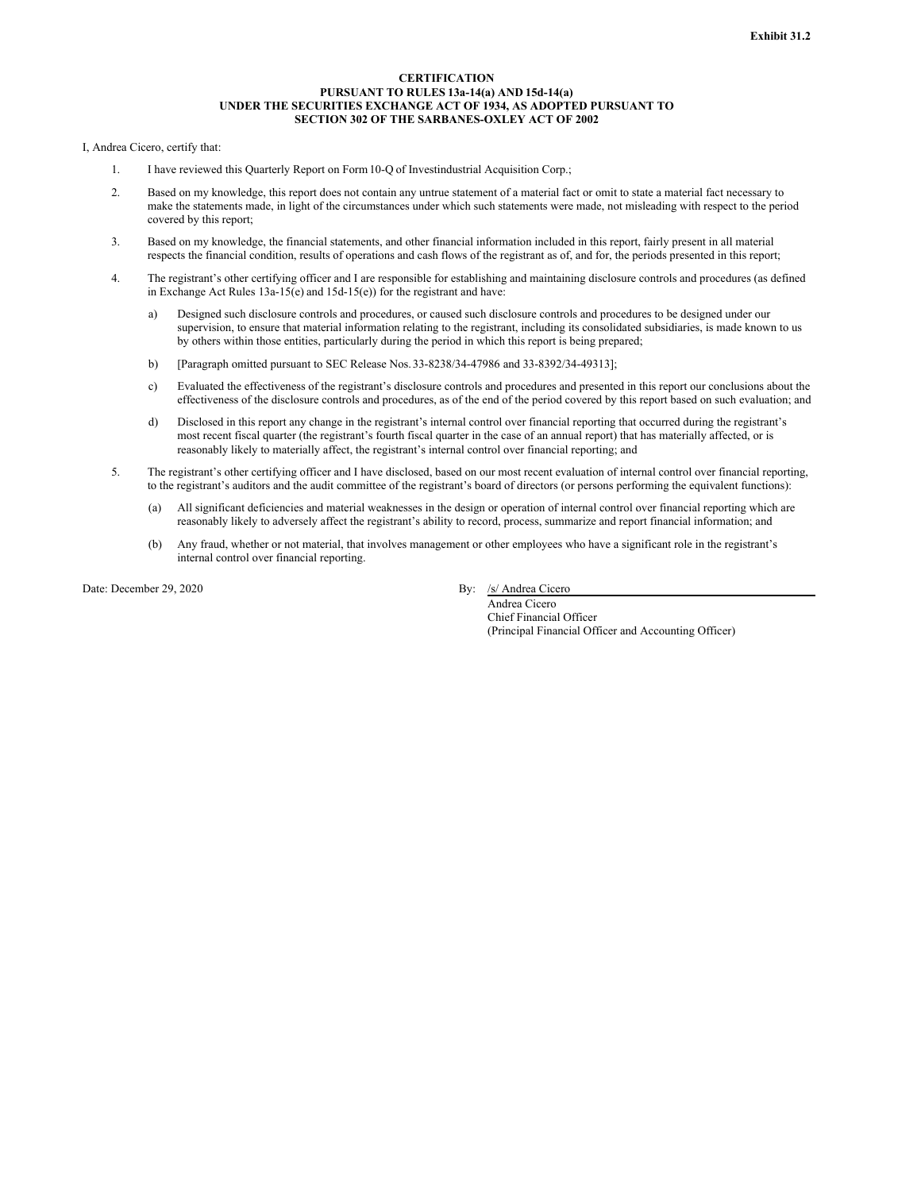#### **CERTIFICATION PURSUANT TO RULES 13a-14(a) AND 15d-14(a) UNDER THE SECURITIES EXCHANGE ACT OF 1934, AS ADOPTED PURSUANT TO SECTION 302 OF THE SARBANES-OXLEY ACT OF 2002**

# <span id="page-25-0"></span>I, Andrea Cicero, certify that:

- 1. I have reviewed this Quarterly Report on Form10-Q of Investindustrial Acquisition Corp.;
- 2. Based on my knowledge, this report does not contain any untrue statement of a material fact or omit to state a material fact necessary to make the statements made, in light of the circumstances under which such statements were made, not misleading with respect to the period covered by this report;
- 3. Based on my knowledge, the financial statements, and other financial information included in this report, fairly present in all material respects the financial condition, results of operations and cash flows of the registrant as of, and for, the periods presented in this report;
- 4. The registrant's other certifying officer and I are responsible for establishing and maintaining disclosure controls and procedures (as defined in Exchange Act Rules 13a-15(e) and 15d-15(e)) for the registrant and have:
	- a) Designed such disclosure controls and procedures, or caused such disclosure controls and procedures to be designed under our supervision, to ensure that material information relating to the registrant, including its consolidated subsidiaries, is made known to us by others within those entities, particularly during the period in which this report is being prepared;
	- b) [Paragraph omitted pursuant to SEC Release Nos.33-8238/34-47986 and 33-8392/34-49313];
	- c) Evaluated the effectiveness of the registrant's disclosure controls and procedures and presented in this report our conclusions about the effectiveness of the disclosure controls and procedures, as of the end of the period covered by this report based on such evaluation; and
	- d) Disclosed in this report any change in the registrant's internal control over financial reporting that occurred during the registrant's most recent fiscal quarter (the registrant's fourth fiscal quarter in the case of an annual report) that has materially affected, or is reasonably likely to materially affect, the registrant's internal control over financial reporting; and
- 5. The registrant's other certifying officer and I have disclosed, based on our most recent evaluation of internal control over financial reporting, to the registrant's auditors and the audit committee of the registrant's board of directors (or persons performing the equivalent functions):
	- (a) All significant deficiencies and material weaknesses in the design or operation of internal control over financial reporting which are reasonably likely to adversely affect the registrant's ability to record, process, summarize and report financial information; and
	- (b) Any fraud, whether or not material, that involves management or other employees who have a significant role in the registrant's internal control over financial reporting.

Date: December 29, 2020 By: /s/ Andrea Cicero

Andrea Cicero Chief Financial Officer (Principal Financial Officer and Accounting Officer)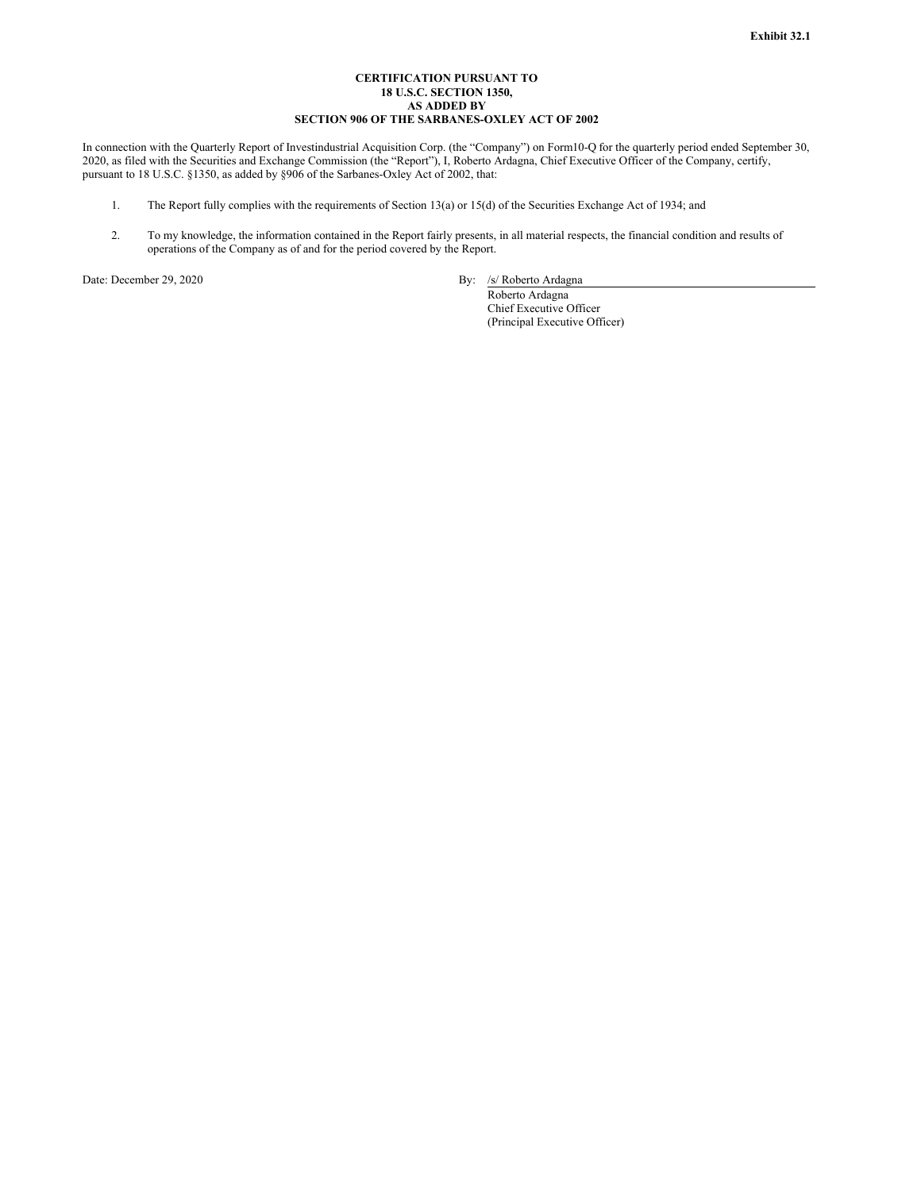### **CERTIFICATION PURSUANT TO 18 U.S.C. SECTION 1350, AS ADDED BY SECTION 906 OF THE SARBANES-OXLEY ACT OF 2002**

<span id="page-26-0"></span>In connection with the Quarterly Report of Investindustrial Acquisition Corp. (the "Company") on Form10-Q for the quarterly period ended September 30, 2020, as filed with the Securities and Exchange Commission (the "Report"), I, Roberto Ardagna, Chief Executive Officer of the Company, certify, pursuant to 18 U.S.C. §1350, as added by §906 of the Sarbanes-Oxley Act of 2002, that:

- 1. The Report fully complies with the requirements of Section 13(a) or 15(d) of the Securities Exchange Act of 1934; and
- 2. To my knowledge, the information contained in the Report fairly presents, in all material respects, the financial condition and results of operations of the Company as of and for the period covered by the Report.

Date: December 29, 2020 By: /s/ Roberto Ardagna

Roberto Ardagna Chief Executive Officer (Principal Executive Officer)